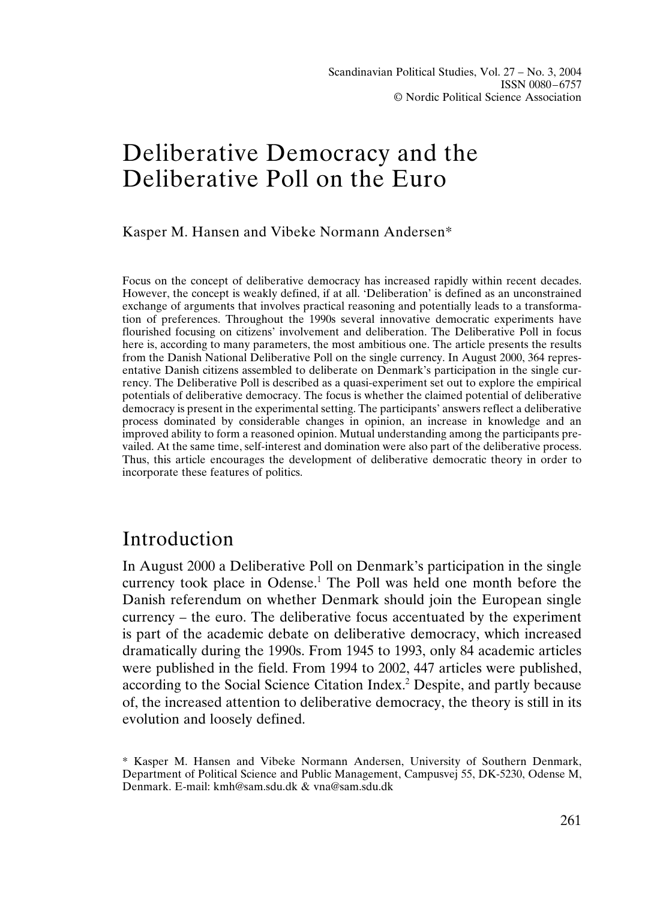# Deliberative Democracy and the Deliberative Poll on the Euro

Kasper M. Hansen and Vibeke Normann Andersen\*

Focus on the concept of deliberative democracy has increased rapidly within recent decades. However, the concept is weakly defined, if at all. 'Deliberation' is defined as an unconstrained exchange of arguments that involves practical reasoning and potentially leads to a transformation of preferences. Throughout the 1990s several innovative democratic experiments have flourished focusing on citizens' involvement and deliberation. The Deliberative Poll in focus here is, according to many parameters, the most ambitious one. The article presents the results from the Danish National Deliberative Poll on the single currency. In August 2000, 364 representative Danish citizens assembled to deliberate on Denmark's participation in the single currency. The Deliberative Poll is described as a quasi-experiment set out to explore the empirical potentials of deliberative democracy. The focus is whether the claimed potential of deliberative democracy is present in the experimental setting. The participants' answers reflect a deliberative process dominated by considerable changes in opinion, an increase in knowledge and an improved ability to form a reasoned opinion. Mutual understanding among the participants prevailed. At the same time, self-interest and domination were also part of the deliberative process. Thus, this article encourages the development of deliberative democratic theory in order to incorporate these features of politics.

## Introduction

In August 2000 a Deliberative Poll on Denmark's participation in the single currency took place in Odense.<sup>1</sup> The Poll was held one month before the Danish referendum on whether Denmark should join the European single currency – the euro. The deliberative focus accentuated by the experiment is part of the academic debate on deliberative democracy, which increased dramatically during the 1990s. From 1945 to 1993, only 84 academic articles were published in the field. From 1994 to 2002, 447 articles were published, according to the Social Science Citation Index.2 Despite, and partly because of, the increased attention to deliberative democracy, the theory is still in its evolution and loosely defined.

<sup>\*</sup> Kasper M. Hansen and Vibeke Normann Andersen, University of Southern Denmark, Department of Political Science and Public Management, Campusvej 55, DK-5230, Odense M, Denmark. E-mail: kmh@sam.sdu.dk & vna@sam.sdu.dk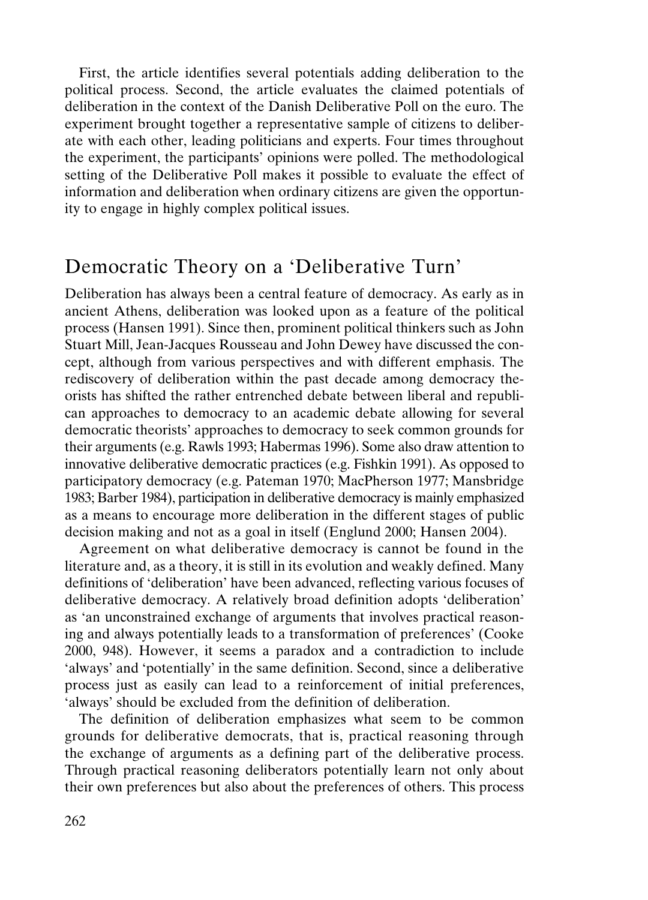First, the article identifies several potentials adding deliberation to the political process. Second, the article evaluates the claimed potentials of deliberation in the context of the Danish Deliberative Poll on the euro. The experiment brought together a representative sample of citizens to deliberate with each other, leading politicians and experts. Four times throughout the experiment, the participants' opinions were polled. The methodological setting of the Deliberative Poll makes it possible to evaluate the effect of information and deliberation when ordinary citizens are given the opportunity to engage in highly complex political issues.

## Democratic Theory on a 'Deliberative Turn'

Deliberation has always been a central feature of democracy. As early as in ancient Athens, deliberation was looked upon as a feature of the political process (Hansen 1991). Since then, prominent political thinkers such as John Stuart Mill, Jean-Jacques Rousseau and John Dewey have discussed the concept, although from various perspectives and with different emphasis. The rediscovery of deliberation within the past decade among democracy theorists has shifted the rather entrenched debate between liberal and republican approaches to democracy to an academic debate allowing for several democratic theorists' approaches to democracy to seek common grounds for their arguments (e.g. Rawls 1993; Habermas 1996). Some also draw attention to innovative deliberative democratic practices (e.g. Fishkin 1991). As opposed to participatory democracy (e.g. Pateman 1970; MacPherson 1977; Mansbridge 1983; Barber 1984), participation in deliberative democracy is mainly emphasized as a means to encourage more deliberation in the different stages of public decision making and not as a goal in itself (Englund 2000; Hansen 2004).

Agreement on what deliberative democracy is cannot be found in the literature and, as a theory, it is still in its evolution and weakly defined. Many definitions of 'deliberation' have been advanced, reflecting various focuses of deliberative democracy. A relatively broad definition adopts 'deliberation' as 'an unconstrained exchange of arguments that involves practical reasoning and always potentially leads to a transformation of preferences' (Cooke 2000, 948). However, it seems a paradox and a contradiction to include 'always' and 'potentially' in the same definition. Second, since a deliberative process just as easily can lead to a reinforcement of initial preferences, 'always' should be excluded from the definition of deliberation.

The definition of deliberation emphasizes what seem to be common grounds for deliberative democrats, that is, practical reasoning through the exchange of arguments as a defining part of the deliberative process. Through practical reasoning deliberators potentially learn not only about their own preferences but also about the preferences of others. This process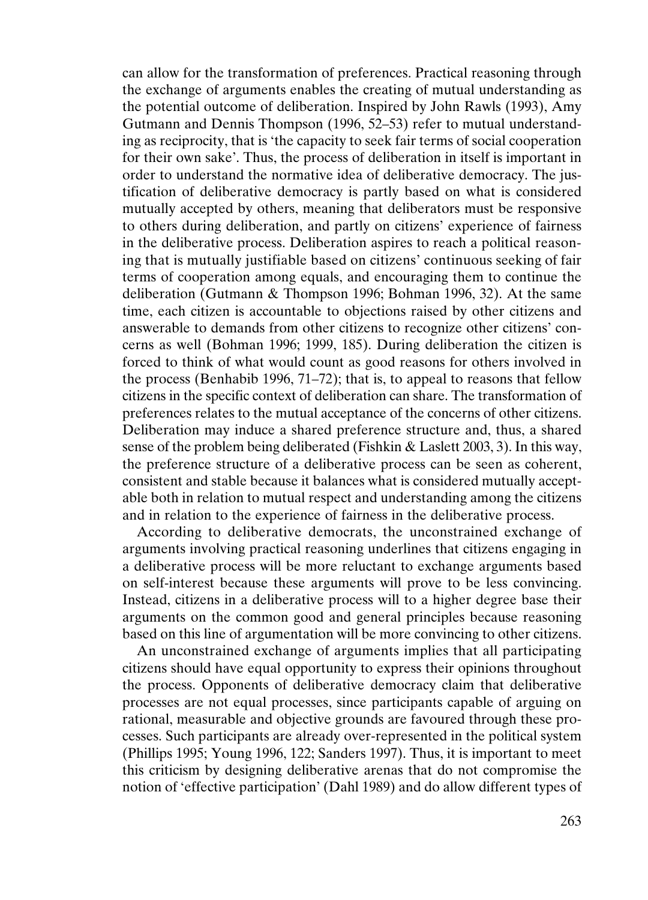can allow for the transformation of preferences. Practical reasoning through the exchange of arguments enables the creating of mutual understanding as the potential outcome of deliberation. Inspired by John Rawls (1993), Amy Gutmann and Dennis Thompson (1996, 52–53) refer to mutual understanding as reciprocity, that is 'the capacity to seek fair terms of social cooperation for their own sake'. Thus, the process of deliberation in itself is important in order to understand the normative idea of deliberative democracy. The justification of deliberative democracy is partly based on what is considered mutually accepted by others, meaning that deliberators must be responsive to others during deliberation, and partly on citizens' experience of fairness in the deliberative process. Deliberation aspires to reach a political reasoning that is mutually justifiable based on citizens' continuous seeking of fair terms of cooperation among equals, and encouraging them to continue the deliberation (Gutmann & Thompson 1996; Bohman 1996, 32). At the same time, each citizen is accountable to objections raised by other citizens and answerable to demands from other citizens to recognize other citizens' concerns as well (Bohman 1996; 1999, 185). During deliberation the citizen is forced to think of what would count as good reasons for others involved in the process (Benhabib 1996, 71–72); that is, to appeal to reasons that fellow citizens in the specific context of deliberation can share. The transformation of preferences relates to the mutual acceptance of the concerns of other citizens. Deliberation may induce a shared preference structure and, thus, a shared sense of the problem being deliberated (Fishkin & Laslett 2003, 3). In this way, the preference structure of a deliberative process can be seen as coherent, consistent and stable because it balances what is considered mutually acceptable both in relation to mutual respect and understanding among the citizens and in relation to the experience of fairness in the deliberative process.

According to deliberative democrats, the unconstrained exchange of arguments involving practical reasoning underlines that citizens engaging in a deliberative process will be more reluctant to exchange arguments based on self-interest because these arguments will prove to be less convincing. Instead, citizens in a deliberative process will to a higher degree base their arguments on the common good and general principles because reasoning based on this line of argumentation will be more convincing to other citizens.

An unconstrained exchange of arguments implies that all participating citizens should have equal opportunity to express their opinions throughout the process. Opponents of deliberative democracy claim that deliberative processes are not equal processes, since participants capable of arguing on rational, measurable and objective grounds are favoured through these processes. Such participants are already over-represented in the political system (Phillips 1995; Young 1996, 122; Sanders 1997). Thus, it is important to meet this criticism by designing deliberative arenas that do not compromise the notion of 'effective participation' (Dahl 1989) and do allow different types of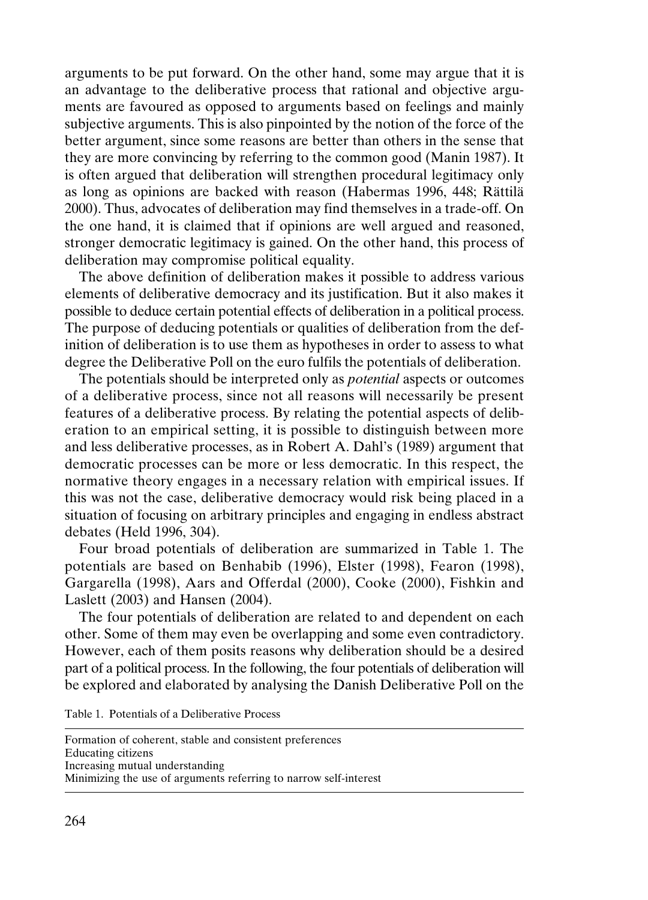arguments to be put forward. On the other hand, some may argue that it is an advantage to the deliberative process that rational and objective arguments are favoured as opposed to arguments based on feelings and mainly subjective arguments. This is also pinpointed by the notion of the force of the better argument, since some reasons are better than others in the sense that they are more convincing by referring to the common good (Manin 1987). It is often argued that deliberation will strengthen procedural legitimacy only as long as opinions are backed with reason (Habermas 1996, 448; Rättilä 2000). Thus, advocates of deliberation may find themselves in a trade-off. On the one hand, it is claimed that if opinions are well argued and reasoned, stronger democratic legitimacy is gained. On the other hand, this process of deliberation may compromise political equality.

The above definition of deliberation makes it possible to address various elements of deliberative democracy and its justification. But it also makes it possible to deduce certain potential effects of deliberation in a political process. The purpose of deducing potentials or qualities of deliberation from the definition of deliberation is to use them as hypotheses in order to assess to what degree the Deliberative Poll on the euro fulfils the potentials of deliberation.

The potentials should be interpreted only as *potential* aspects or outcomes of a deliberative process, since not all reasons will necessarily be present features of a deliberative process. By relating the potential aspects of deliberation to an empirical setting, it is possible to distinguish between more and less deliberative processes, as in Robert A. Dahl's (1989) argument that democratic processes can be more or less democratic. In this respect, the normative theory engages in a necessary relation with empirical issues. If this was not the case, deliberative democracy would risk being placed in a situation of focusing on arbitrary principles and engaging in endless abstract debates (Held 1996, 304).

Four broad potentials of deliberation are summarized in Table 1. The potentials are based on Benhabib (1996), Elster (1998), Fearon (1998), Gargarella (1998), Aars and Offerdal (2000), Cooke (2000), Fishkin and Laslett (2003) and Hansen (2004).

The four potentials of deliberation are related to and dependent on each other. Some of them may even be overlapping and some even contradictory. However, each of them posits reasons why deliberation should be a desired part of a political process. In the following, the four potentials of deliberation will be explored and elaborated by analysing the Danish Deliberative Poll on the

Table 1. Potentials of a Deliberative Process

| Formation of coherent, stable and consistent preferences          |  |
|-------------------------------------------------------------------|--|
| Educating citizens                                                |  |
| Increasing mutual understanding                                   |  |
| Minimizing the use of arguments referring to narrow self-interest |  |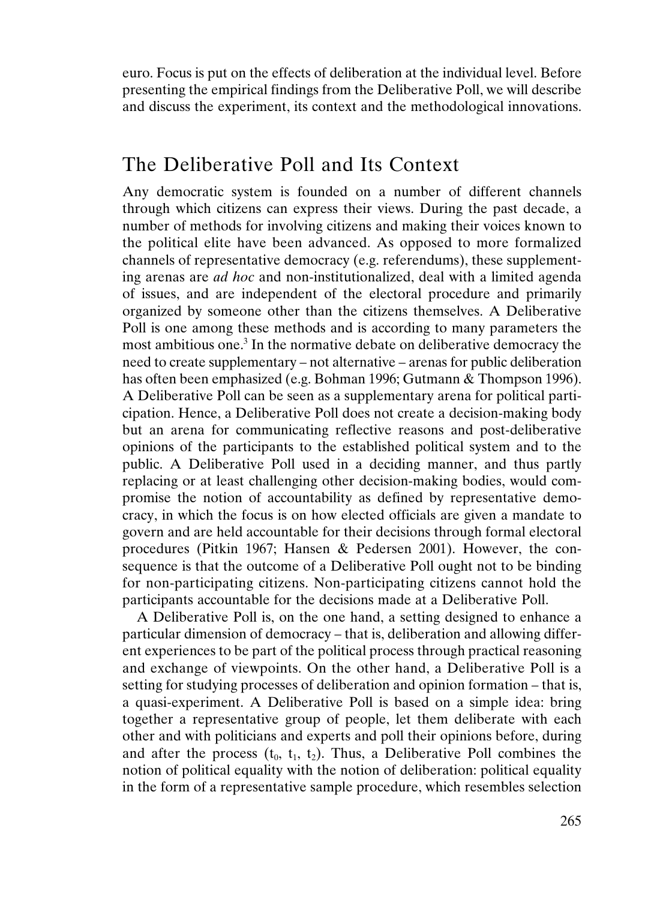euro. Focus is put on the effects of deliberation at the individual level. Before presenting the empirical findings from the Deliberative Poll, we will describe and discuss the experiment, its context and the methodological innovations.

## The Deliberative Poll and Its Context

Any democratic system is founded on a number of different channels through which citizens can express their views. During the past decade, a number of methods for involving citizens and making their voices known to the political elite have been advanced. As opposed to more formalized channels of representative democracy (e.g. referendums), these supplementing arenas are *ad hoc* and non-institutionalized, deal with a limited agenda of issues, and are independent of the electoral procedure and primarily organized by someone other than the citizens themselves. A Deliberative Poll is one among these methods and is according to many parameters the most ambitious one.<sup>3</sup> In the normative debate on deliberative democracy the need to create supplementary – not alternative – arenas for public deliberation has often been emphasized (e.g. Bohman 1996; Gutmann & Thompson 1996). A Deliberative Poll can be seen as a supplementary arena for political participation. Hence, a Deliberative Poll does not create a decision-making body but an arena for communicating reflective reasons and post-deliberative opinions of the participants to the established political system and to the public. A Deliberative Poll used in a deciding manner, and thus partly replacing or at least challenging other decision-making bodies, would compromise the notion of accountability as defined by representative democracy, in which the focus is on how elected officials are given a mandate to govern and are held accountable for their decisions through formal electoral procedures (Pitkin 1967; Hansen & Pedersen 2001). However, the consequence is that the outcome of a Deliberative Poll ought not to be binding for non-participating citizens. Non-participating citizens cannot hold the participants accountable for the decisions made at a Deliberative Poll.

A Deliberative Poll is, on the one hand, a setting designed to enhance a particular dimension of democracy – that is, deliberation and allowing different experiences to be part of the political process through practical reasoning and exchange of viewpoints. On the other hand, a Deliberative Poll is a setting for studying processes of deliberation and opinion formation – that is, a quasi-experiment. A Deliberative Poll is based on a simple idea: bring together a representative group of people, let them deliberate with each other and with politicians and experts and poll their opinions before, during and after the process  $(t_0, t_1, t_2)$ . Thus, a Deliberative Poll combines the notion of political equality with the notion of deliberation: political equality in the form of a representative sample procedure, which resembles selection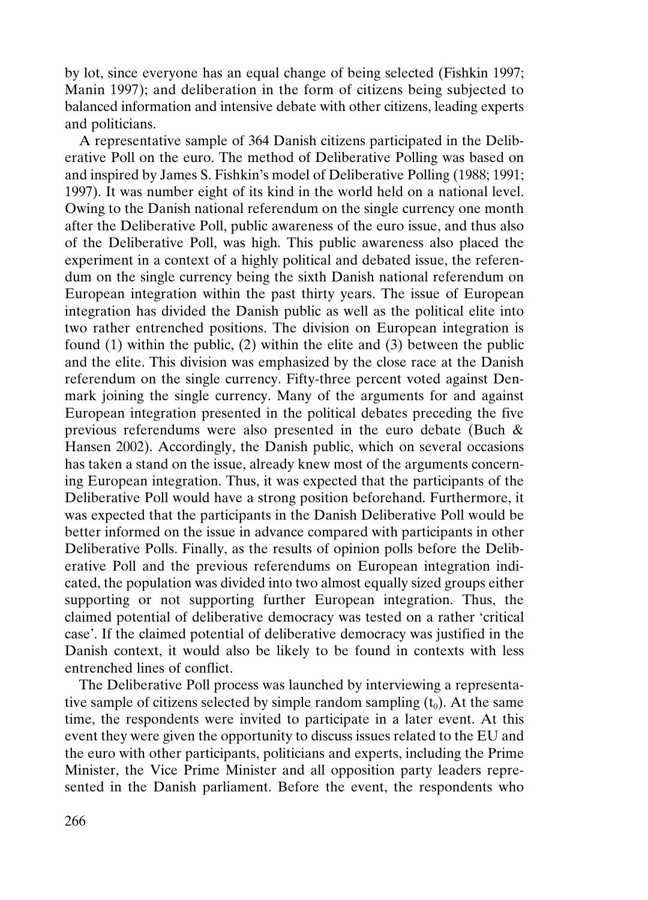by lot, since everyone has an equal change of being selected (Fishkin 1997; Manin 1997); and deliberation in the form of citizens being subjected to balanced information and intensive debate with other citizens, leading experts and politicians.

A representative sample of 364 Danish citizens participated in the Deliberative Poll on the euro. The method of Deliberative Polling was based on and inspired by James S. Fishkin's model of Deliberative Polling (1988; 1991; 1997). It was number eight of its kind in the world held on a national level. Owing to the Danish national referendum on the single currency one month after the Deliberative Poll, public awareness of the euro issue, and thus also of the Deliberative Poll, was high. This public awareness also placed the experiment in a context of a highly political and debated issue, the referendum on the single currency being the sixth Danish national referendum on European integration within the past thirty years. The issue of European integration has divided the Danish public as well as the political elite into two rather entrenched positions. The division on European integration is found (1) within the public, (2) within the elite and (3) between the public and the elite. This division was emphasized by the close race at the Danish referendum on the single currency. Fifty-three percent voted against Denmark joining the single currency. Many of the arguments for and against European integration presented in the political debates preceding the five previous referendums were also presented in the euro debate (Buch & Hansen 2002). Accordingly, the Danish public, which on several occasions has taken a stand on the issue, already knew most of the arguments concerning European integration. Thus, it was expected that the participants of the Deliberative Poll would have a strong position beforehand. Furthermore, it was expected that the participants in the Danish Deliberative Poll would be better informed on the issue in advance compared with participants in other Deliberative Polls. Finally, as the results of opinion polls before the Deliberative Poll and the previous referendums on European integration indicated, the population was divided into two almost equally sized groups either supporting or not supporting further European integration. Thus, the claimed potential of deliberative democracy was tested on a rather 'critical case'. If the claimed potential of deliberative democracy was justified in the Danish context, it would also be likely to be found in contexts with less entrenched lines of conflict.

The Deliberative Poll process was launched by interviewing a representative sample of citizens selected by simple random sampling  $(t_0)$ . At the same time, the respondents were invited to participate in a later event. At this event they were given the opportunity to discuss issues related to the EU and the euro with other participants, politicians and experts, including the Prime Minister, the Vice Prime Minister and all opposition party leaders represented in the Danish parliament. Before the event, the respondents who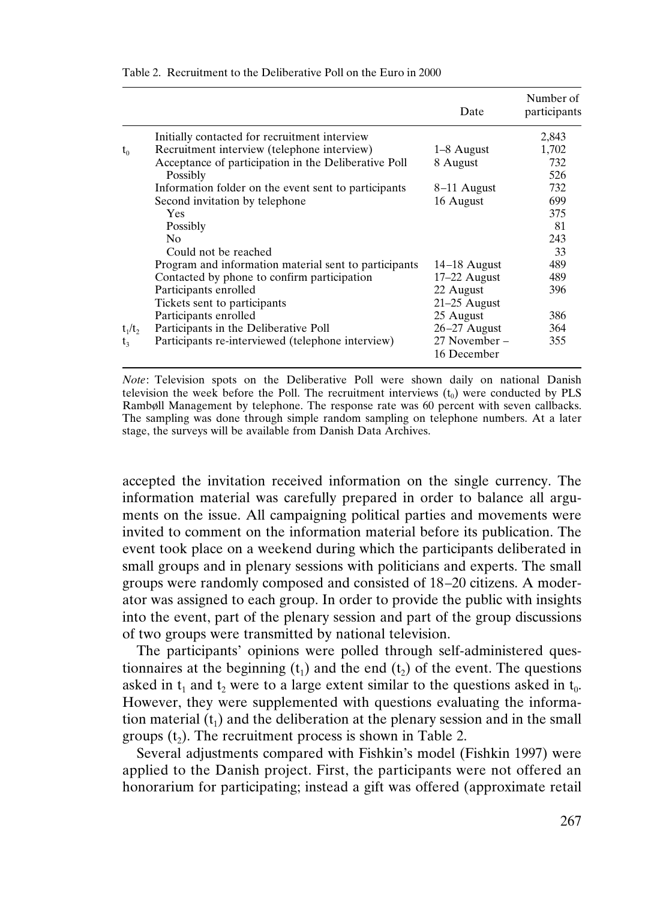|           |                                                       | Date                           | Number of<br>participants |
|-----------|-------------------------------------------------------|--------------------------------|---------------------------|
|           | Initially contacted for recruitment interview         |                                | 2,843                     |
| $t_0$     | Recruitment interview (telephone interview)           | 1–8 August                     | 1,702                     |
|           | Acceptance of participation in the Deliberative Poll  | 8 August                       | 732                       |
|           | Possibly                                              |                                | 526                       |
|           | Information folder on the event sent to participants  | $8-11$ August                  | 732                       |
|           | Second invitation by telephone                        | 16 August                      | 699                       |
|           | Yes                                                   |                                | 375                       |
|           | Possibly                                              |                                | 81                        |
|           | No.                                                   |                                | 243                       |
|           | Could not be reached                                  |                                | 33                        |
|           | Program and information material sent to participants | $14-18$ August                 | 489                       |
|           | Contacted by phone to confirm participation           | $17-22$ August                 | 489                       |
|           | Participants enrolled                                 | 22 August                      | 396                       |
|           | Tickets sent to participants                          | $21-25$ August                 |                           |
|           | Participants enrolled                                 | 25 August                      | 386                       |
| $t_1/t_2$ | Participants in the Deliberative Poll                 | $26-27$ August                 | 364                       |
| t,        | Participants re-interviewed (telephone interview)     | $27$ November –<br>16 December | 355                       |

Table 2. Recruitment to the Deliberative Poll on the Euro in 2000

*Note*: Television spots on the Deliberative Poll were shown daily on national Danish television the week before the Poll. The recruitment interviews  $(t_0)$  were conducted by PLS Rambøll Management by telephone. The response rate was 60 percent with seven callbacks. The sampling was done through simple random sampling on telephone numbers. At a later stage, the surveys will be available from Danish Data Archives.

accepted the invitation received information on the single currency. The information material was carefully prepared in order to balance all arguments on the issue. All campaigning political parties and movements were invited to comment on the information material before its publication. The event took place on a weekend during which the participants deliberated in small groups and in plenary sessions with politicians and experts. The small groups were randomly composed and consisted of 18–20 citizens. A moderator was assigned to each group. In order to provide the public with insights into the event, part of the plenary session and part of the group discussions of two groups were transmitted by national television.

The participants' opinions were polled through self-administered questionnaires at the beginning  $(t_1)$  and the end  $(t_2)$  of the event. The questions asked in  $t_1$  and  $t_2$  were to a large extent similar to the questions asked in  $t_0$ . However, they were supplemented with questions evaluating the information material  $(t_1)$  and the deliberation at the plenary session and in the small groups  $(t_2)$ . The recruitment process is shown in Table 2.

Several adjustments compared with Fishkin's model (Fishkin 1997) were applied to the Danish project. First, the participants were not offered an honorarium for participating; instead a gift was offered (approximate retail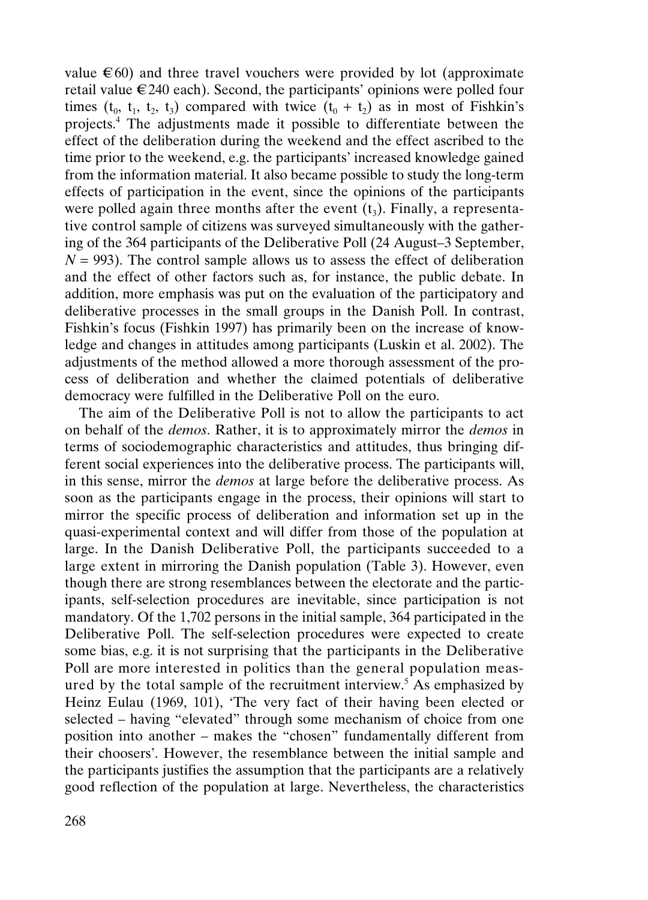value  $\epsilon$  60) and three travel vouchers were provided by lot (approximate retail value  $\epsilon$ 240 each). Second, the participants' opinions were polled four times ( $t_0$ ,  $t_1$ ,  $t_2$ ,  $t_3$ ) compared with twice  $(t_0 + t_2)$  as in most of Fishkin's projects.4 The adjustments made it possible to differentiate between the effect of the deliberation during the weekend and the effect ascribed to the time prior to the weekend, e.g. the participants' increased knowledge gained from the information material. It also became possible to study the long-term effects of participation in the event, since the opinions of the participants were polled again three months after the event  $(t<sub>3</sub>)$ . Finally, a representative control sample of citizens was surveyed simultaneously with the gathering of the 364 participants of the Deliberative Poll (24 August–3 September,  $N = 993$ ). The control sample allows us to assess the effect of deliberation and the effect of other factors such as, for instance, the public debate. In addition, more emphasis was put on the evaluation of the participatory and deliberative processes in the small groups in the Danish Poll. In contrast, Fishkin's focus (Fishkin 1997) has primarily been on the increase of knowledge and changes in attitudes among participants (Luskin et al. 2002). The adjustments of the method allowed a more thorough assessment of the process of deliberation and whether the claimed potentials of deliberative democracy were fulfilled in the Deliberative Poll on the euro.

The aim of the Deliberative Poll is not to allow the participants to act on behalf of the *demos*. Rather, it is to approximately mirror the *demos* in terms of sociodemographic characteristics and attitudes, thus bringing different social experiences into the deliberative process. The participants will, in this sense, mirror the *demos* at large before the deliberative process. As soon as the participants engage in the process, their opinions will start to mirror the specific process of deliberation and information set up in the quasi-experimental context and will differ from those of the population at large. In the Danish Deliberative Poll, the participants succeeded to a large extent in mirroring the Danish population (Table 3). However, even though there are strong resemblances between the electorate and the participants, self-selection procedures are inevitable, since participation is not mandatory. Of the 1,702 persons in the initial sample, 364 participated in the Deliberative Poll. The self-selection procedures were expected to create some bias, e.g. it is not surprising that the participants in the Deliberative Poll are more interested in politics than the general population measured by the total sample of the recruitment interview.<sup>5</sup> As emphasized by Heinz Eulau (1969, 101), 'The very fact of their having been elected or selected – having "elevated" through some mechanism of choice from one position into another – makes the "chosen" fundamentally different from their choosers'. However, the resemblance between the initial sample and the participants justifies the assumption that the participants are a relatively good reflection of the population at large. Nevertheless, the characteristics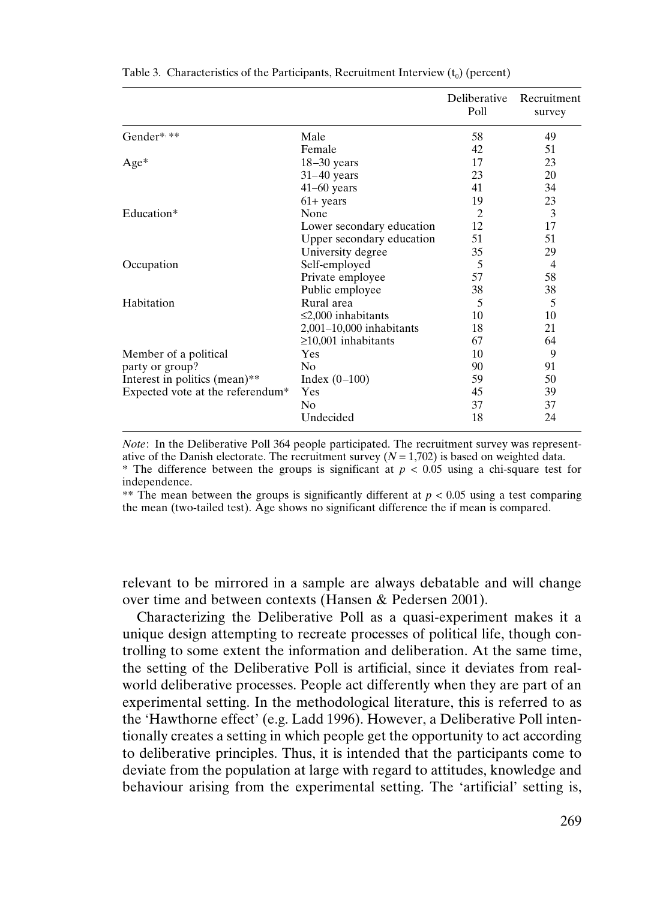|                                  |                            | Deliberative<br>Poll | Recruitment<br>survey |
|----------------------------------|----------------------------|----------------------|-----------------------|
| Gender*,**                       | Male                       | 58                   | 49                    |
|                                  | Female                     | 42                   | 51                    |
| $Age*$                           | $18-30$ years              | 17                   | 23                    |
|                                  | $31-40$ years              | 23                   | 20                    |
|                                  | $41-60$ years              | 41                   | 34                    |
|                                  | $61+$ years                | 19                   | 23                    |
| Education*                       | None                       | 2                    | 3                     |
|                                  | Lower secondary education  | 12                   | 17                    |
|                                  | Upper secondary education  | 51                   | 51                    |
|                                  | University degree          | 35                   | 29                    |
| Occupation                       | Self-employed              | 5                    | 4                     |
|                                  | Private employee           | 57                   | 58                    |
|                                  | Public employee            | 38                   | 38                    |
| Habitation                       | Rural area                 | 5                    | 5                     |
|                                  | $\leq$ 2,000 inhabitants   | 10                   | 10                    |
|                                  | $2,001-10,000$ inhabitants | 18                   | 21                    |
|                                  | $\geq$ 10,001 inhabitants  | 67                   | 64                    |
| Member of a political            | Yes                        | 10                   | 9                     |
| party or group?                  | N <sub>0</sub>             | 90                   | 91                    |
| Interest in politics (mean)**    | Index $(0-100)$            | 59                   | 50                    |
| Expected vote at the referendum* | Yes                        | 45                   | 39                    |
|                                  | N <sub>0</sub>             | 37                   | 37                    |
|                                  | Undecided                  | 18                   | 24                    |

Table 3. Characteristics of the Participants, Recruitment Interview  $(t_0)$  (percent)

*Note*: In the Deliberative Poll 364 people participated. The recruitment survey was representative of the Danish electorate. The recruitment survey  $(N = 1,702)$  is based on weighted data. <sup>\*</sup> The difference between the groups is significant at  $p < 0.05$  using a chi-square test for

independence.

\*\* The mean between the groups is significantly different at  $p < 0.05$  using a test comparing the mean (two-tailed test). Age shows no significant difference the if mean is compared.

relevant to be mirrored in a sample are always debatable and will change over time and between contexts (Hansen & Pedersen 2001).

Characterizing the Deliberative Poll as a quasi-experiment makes it a unique design attempting to recreate processes of political life, though controlling to some extent the information and deliberation. At the same time, the setting of the Deliberative Poll is artificial, since it deviates from realworld deliberative processes. People act differently when they are part of an experimental setting. In the methodological literature, this is referred to as the 'Hawthorne effect' (e.g. Ladd 1996). However, a Deliberative Poll intentionally creates a setting in which people get the opportunity to act according to deliberative principles. Thus, it is intended that the participants come to deviate from the population at large with regard to attitudes, knowledge and behaviour arising from the experimental setting. The 'artificial' setting is,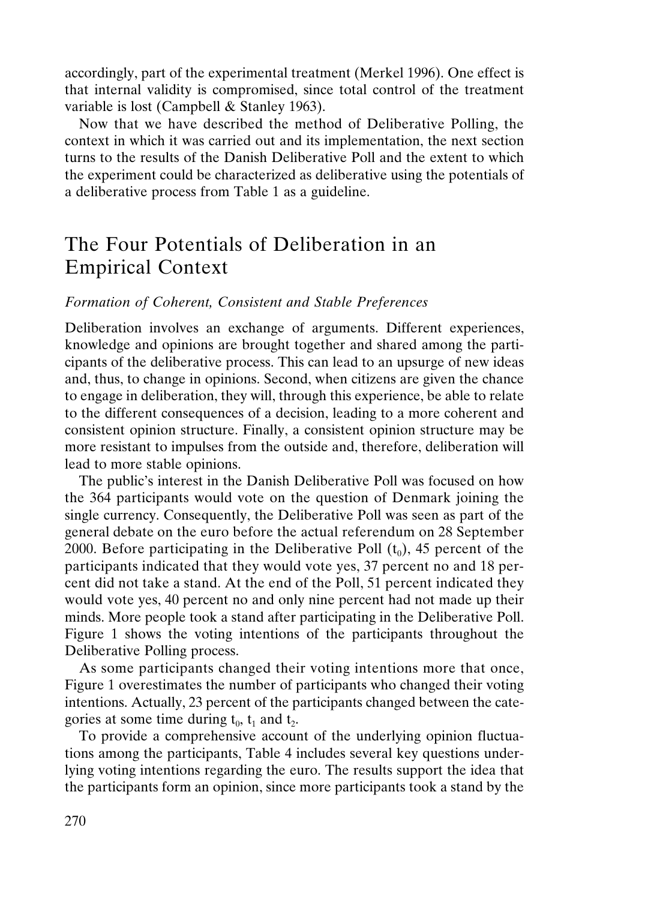accordingly, part of the experimental treatment (Merkel 1996). One effect is that internal validity is compromised, since total control of the treatment variable is lost (Campbell & Stanley 1963).

Now that we have described the method of Deliberative Polling, the context in which it was carried out and its implementation, the next section turns to the results of the Danish Deliberative Poll and the extent to which the experiment could be characterized as deliberative using the potentials of a deliberative process from Table 1 as a guideline.

## The Four Potentials of Deliberation in an Empirical Context

#### *Formation of Coherent, Consistent and Stable Preferences*

Deliberation involves an exchange of arguments. Different experiences, knowledge and opinions are brought together and shared among the participants of the deliberative process. This can lead to an upsurge of new ideas and, thus, to change in opinions. Second, when citizens are given the chance to engage in deliberation, they will, through this experience, be able to relate to the different consequences of a decision, leading to a more coherent and consistent opinion structure. Finally, a consistent opinion structure may be more resistant to impulses from the outside and, therefore, deliberation will lead to more stable opinions.

The public's interest in the Danish Deliberative Poll was focused on how the 364 participants would vote on the question of Denmark joining the single currency. Consequently, the Deliberative Poll was seen as part of the general debate on the euro before the actual referendum on 28 September 2000. Before participating in the Deliberative Poll  $(t_0)$ , 45 percent of the participants indicated that they would vote yes, 37 percent no and 18 percent did not take a stand. At the end of the Poll, 51 percent indicated they would vote yes, 40 percent no and only nine percent had not made up their minds. More people took a stand after participating in the Deliberative Poll. Figure 1 shows the voting intentions of the participants throughout the Deliberative Polling process.

As some participants changed their voting intentions more that once, Figure 1 overestimates the number of participants who changed their voting intentions. Actually, 23 percent of the participants changed between the categories at some time during  $t_0$ ,  $t_1$  and  $t_2$ .

To provide a comprehensive account of the underlying opinion fluctuations among the participants, Table 4 includes several key questions underlying voting intentions regarding the euro. The results support the idea that the participants form an opinion, since more participants took a stand by the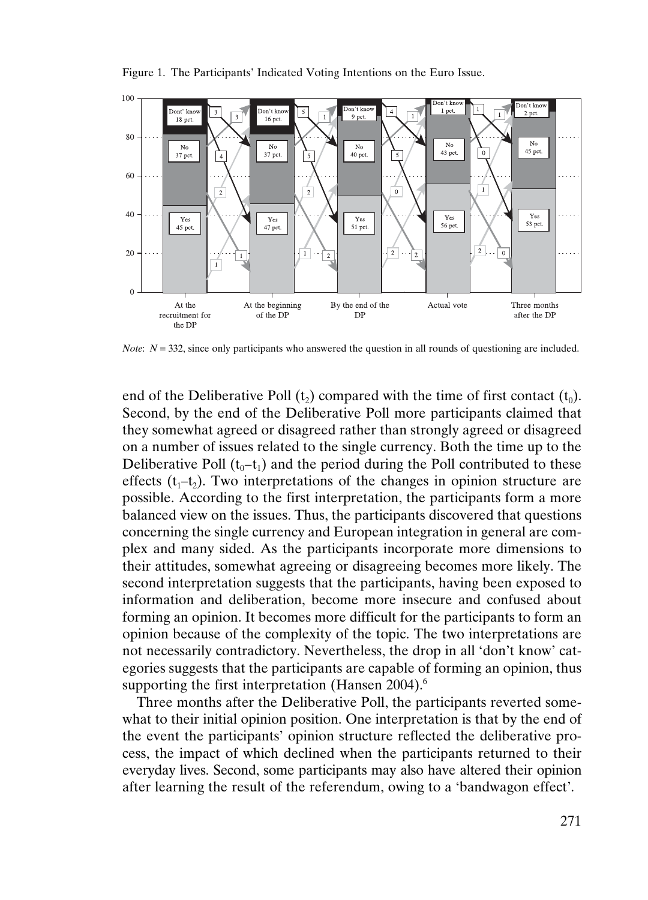

Figure 1. The Participants' Indicated Voting Intentions on the Euro Issue.

*Note*:  $N = 332$ , since only participants who answered the question in all rounds of questioning are included.

end of the Deliberative Poll  $(t_2)$  compared with the time of first contact  $(t_0)$ . Second, by the end of the Deliberative Poll more participants claimed that they somewhat agreed or disagreed rather than strongly agreed or disagreed on a number of issues related to the single currency. Both the time up to the Deliberative Poll  $(t_0-t_1)$  and the period during the Poll contributed to these effects  $(t_1-t_2)$ . Two interpretations of the changes in opinion structure are possible. According to the first interpretation, the participants form a more balanced view on the issues. Thus, the participants discovered that questions concerning the single currency and European integration in general are complex and many sided. As the participants incorporate more dimensions to their attitudes, somewhat agreeing or disagreeing becomes more likely. The second interpretation suggests that the participants, having been exposed to information and deliberation, become more insecure and confused about forming an opinion. It becomes more difficult for the participants to form an opinion because of the complexity of the topic. The two interpretations are not necessarily contradictory. Nevertheless, the drop in all 'don't know' categories suggests that the participants are capable of forming an opinion, thus supporting the first interpretation (Hansen 2004).<sup>6</sup>

Three months after the Deliberative Poll, the participants reverted somewhat to their initial opinion position. One interpretation is that by the end of the event the participants' opinion structure reflected the deliberative process, the impact of which declined when the participants returned to their everyday lives. Second, some participants may also have altered their opinion after learning the result of the referendum, owing to a 'bandwagon effect'.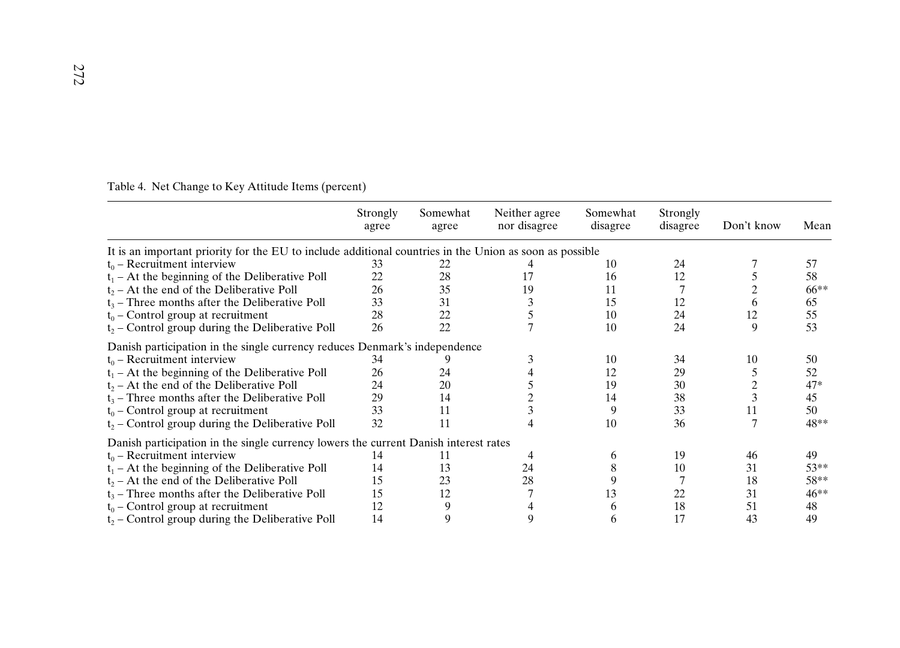|  |  |  |  |  | Table 4. Net Change to Key Attitude Items (percent) |  |  |  |
|--|--|--|--|--|-----------------------------------------------------|--|--|--|
|--|--|--|--|--|-----------------------------------------------------|--|--|--|

|                                                                                                         | Strongly<br>agree | Somewhat<br>agree | Neither agree<br>nor disagree | Somewhat<br>disagree | Strongly<br>disagree | Don't know     | Mean    |
|---------------------------------------------------------------------------------------------------------|-------------------|-------------------|-------------------------------|----------------------|----------------------|----------------|---------|
| It is an important priority for the EU to include additional countries in the Union as soon as possible |                   |                   |                               |                      |                      |                |         |
| $t_0$ – Recruitment interview                                                                           | 33                | 22                |                               | 10                   | 24                   |                | 57      |
| $t_1$ – At the beginning of the Deliberative Poll                                                       | 22                | 28                | 17                            | 16                   | 12                   |                | 58      |
| $t_2$ – At the end of the Deliberative Poll                                                             | 26                | 35                | 19                            | 11                   |                      |                | $66***$ |
| $t3$ – Three months after the Deliberative Poll                                                         | 33                | 31                |                               | 15                   | 12                   | 6              | 65      |
| $t_0$ – Control group at recruitment                                                                    | 28                | 22                |                               | 10                   | 24                   | 12             | 55      |
| $t_2$ – Control group during the Deliberative Poll                                                      | 26                | 22                |                               | 10                   | 24                   | 9              | 53      |
| Danish participation in the single currency reduces Denmark's independence                              |                   |                   |                               |                      |                      |                |         |
| $t_0$ – Recruitment interview                                                                           | 34                |                   |                               | 10                   | 34                   | 10             | 50      |
| $t_1$ – At the beginning of the Deliberative Poll                                                       | 26                | 24                |                               | 12                   | 29                   |                | 52      |
| $t2 - At the end of the Deliberative Poll$                                                              | 24                | 20                |                               | 19                   | 30                   | $\overline{c}$ | $47*$   |
| $t_3$ – Three months after the Deliberative Poll                                                        | 29                | 14                |                               | 14                   | 38                   | 3              | 45      |
| $t_0$ – Control group at recruitment                                                                    | 33                | 11                |                               | 9                    | 33                   | 11             | 50      |
| $t_2$ – Control group during the Deliberative Poll                                                      | 32                | 11                |                               | 10                   | 36                   |                | 48**    |
| Danish participation in the single currency lowers the current Danish interest rates                    |                   |                   |                               |                      |                      |                |         |
| $t_0$ – Recruitment interview                                                                           | 14                | 11                |                               | 6                    | 19                   | 46             | 49      |
| $t_1$ – At the beginning of the Deliberative Poll                                                       | 14                | 13                | 24                            | 8                    | 10                   | 31             | $53**$  |
| $t2 - At the end of the Deliberative Poll$                                                              | 15                | 23                | 28                            |                      |                      | 18             | 58**    |
| $t3$ – Three months after the Deliberative Poll                                                         | 15                | 12                |                               | 13                   | 22                   | 31             | $46**$  |
| $t_0$ – Control group at recruitment                                                                    | 12                | 9                 |                               | 6                    | 18                   | 51             | 48      |
| $t2$ – Control group during the Deliberative Poll                                                       | 14                | 9                 |                               |                      | 17                   | 43             | 49      |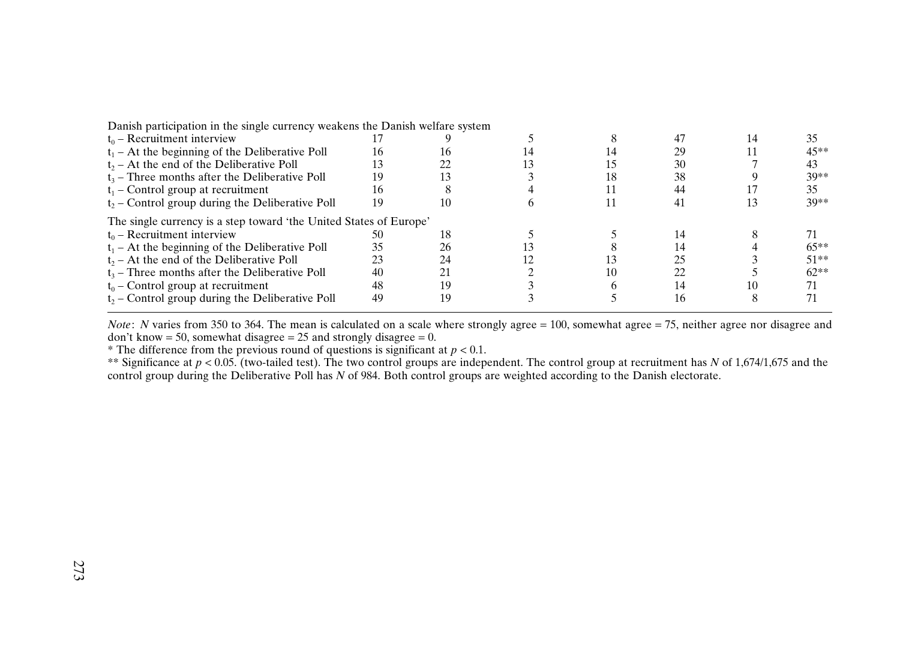| Danish participation in the single currency weakens the Danish welfare system |    |    |    |    |        |
|-------------------------------------------------------------------------------|----|----|----|----|--------|
| $t_0$ – Recruitment interview                                                 |    |    |    |    |        |
| $t_1$ – At the beginning of the Deliberative Poll                             | 16 |    |    |    | 45**   |
| $t2 - At the end of the Deliberative Poll$                                    | 13 |    |    | 30 |        |
| $t3$ – Three months after the Deliberative Poll                               | 19 |    | 18 | 38 | $30**$ |
| $t_1$ – Control group at recruitment                                          | 16 |    |    | 44 |        |
| $t2$ – Control group during the Deliberative Poll                             | 19 |    |    | 41 | $30**$ |
| The single currency is a step toward 'the United States of Europe'            |    |    |    |    |        |
| $t_0$ – Recruitment interview                                                 | 50 | 18 |    |    |        |
| $t_1$ – At the beginning of the Deliberative Poll                             | 35 |    |    |    | $65**$ |
| $t2 - At the end of the Deliberative Poll$                                    | 23 |    |    |    | $51**$ |
| $t3$ – Three months after the Deliberative Poll                               | 40 |    | 10 |    | $62**$ |
| $t_0$ – Control group at recruitment                                          | 48 |    |    |    |        |
| $t2$ – Control group during the Deliberative Poll                             | 49 |    |    |    |        |

*Note*: *N* varies from 350 to 364. The mean is calculated on a scale where strongly agree = 100, somewhat agree = 75, neither agree nor disagree and don't know = 50, somewhat disagree <sup>=</sup> 25 and strongly disagree <sup>=</sup> 0.

\* The difference from the previous round of questions is significant at  $p < 0.1$ .

\*\* Significance at *<sup>p</sup>* <sup>&</sup>lt; 0.05. (two-tailed test). The two control groups are independent. The control group at recruitment has *N* of 1,674/1,675 and the control group during the Deliberative Poll has *N* of 984. Both control groups are weighted according to the Danish electorate.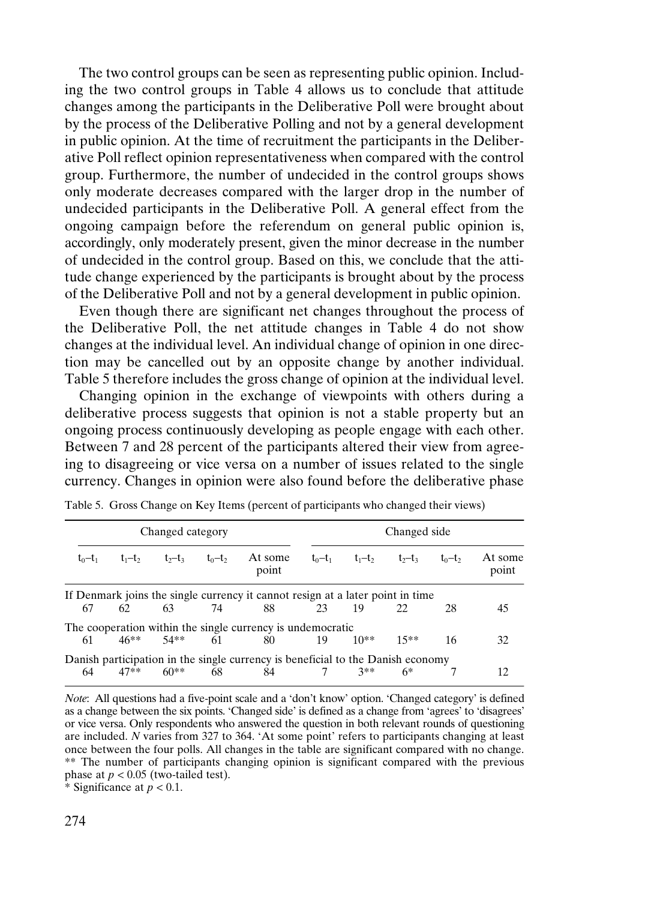The two control groups can be seen as representing public opinion. Including the two control groups in Table 4 allows us to conclude that attitude changes among the participants in the Deliberative Poll were brought about by the process of the Deliberative Polling and not by a general development in public opinion. At the time of recruitment the participants in the Deliberative Poll reflect opinion representativeness when compared with the control group. Furthermore, the number of undecided in the control groups shows only moderate decreases compared with the larger drop in the number of undecided participants in the Deliberative Poll. A general effect from the ongoing campaign before the referendum on general public opinion is, accordingly, only moderately present, given the minor decrease in the number of undecided in the control group. Based on this, we conclude that the attitude change experienced by the participants is brought about by the process of the Deliberative Poll and not by a general development in public opinion.

Even though there are significant net changes throughout the process of the Deliberative Poll, the net attitude changes in Table 4 do not show changes at the individual level. An individual change of opinion in one direction may be cancelled out by an opposite change by another individual. Table 5 therefore includes the gross change of opinion at the individual level.

Changing opinion in the exchange of viewpoints with others during a deliberative process suggests that opinion is not a stable property but an ongoing process continuously developing as people engage with each other. Between 7 and 28 percent of the participants altered their view from agreeing to disagreeing or vice versa on a number of issues related to the single currency. Changes in opinion were also found before the deliberative phase

| Changed category |        |                               |    |                                                                                 |    |                                     | Changed side |                       |                  |
|------------------|--------|-------------------------------|----|---------------------------------------------------------------------------------|----|-------------------------------------|--------------|-----------------------|------------------|
| $t_0 - t_1$      |        | $t_1-t_2$ $t_2-t_3$ $t_0-t_2$ |    | At some<br>point                                                                |    | $t_0 - t_1$ $t_1 - t_2$ $t_2 - t_3$ |              | $t_0$ -t <sub>2</sub> | At some<br>point |
|                  |        |                               |    | If Denmark joins the single currency it cannot resign at a later point in time  |    |                                     |              |                       |                  |
| 67               | 62.    | 63                            | 74 | 88                                                                              | 23 | 19                                  | 22           | 28                    | 45               |
|                  |        |                               |    | The cooperation within the single currency is undemocratic                      |    |                                     |              |                       |                  |
| 61               |        | $46**$ 54** 61                |    | 80                                                                              | 19 | $10**$                              | $15**$       | 16                    | 32               |
|                  |        |                               |    | Danish participation in the single currency is beneficial to the Danish economy |    |                                     |              |                       |                  |
| 64               | $47**$ | $60**$                        | 68 | 84                                                                              |    | $3**$                               | 6*           |                       | 12               |

Table 5. Gross Change on Key Items (percent of participants who changed their views)

*Note*: All questions had a five-point scale and a 'don't know' option. 'Changed category' is defined as a change between the six points. 'Changed side' is defined as a change from 'agrees' to 'disagrees' or vice versa. Only respondents who answered the question in both relevant rounds of questioning are included. *N* varies from 327 to 364. 'At some point' refers to participants changing at least once between the four polls. All changes in the table are significant compared with no change. \*\* The number of participants changing opinion is significant compared with the previous phase at  $p < 0.05$  (two-tailed test).

\* Significance at  $p < 0.1$ .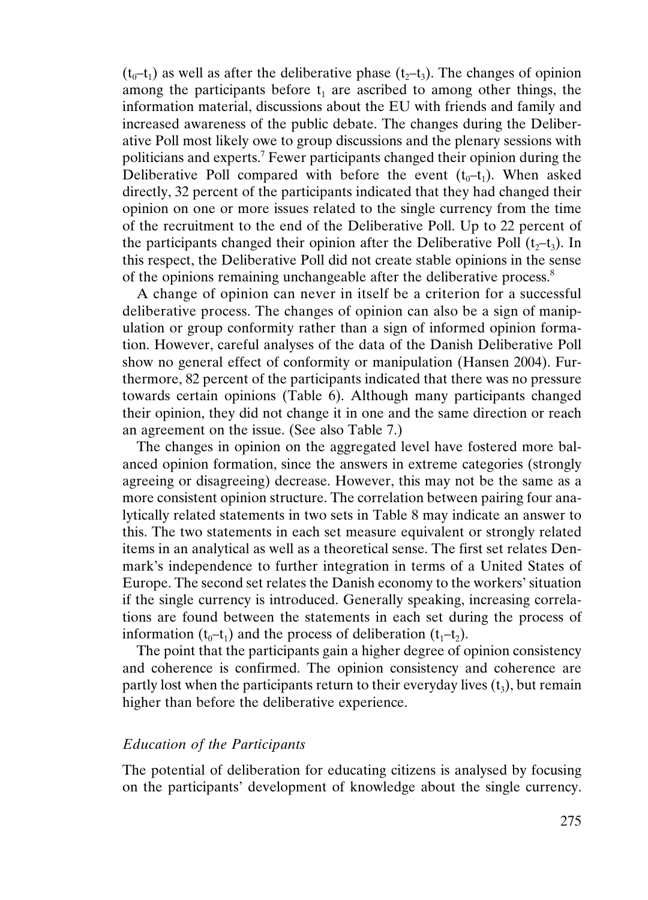$(t_0-t_1)$  as well as after the deliberative phase  $(t_2-t_3)$ . The changes of opinion among the participants before  $t_1$  are ascribed to among other things, the information material, discussions about the EU with friends and family and increased awareness of the public debate. The changes during the Deliberative Poll most likely owe to group discussions and the plenary sessions with politicians and experts.7 Fewer participants changed their opinion during the Deliberative Poll compared with before the event  $(t_0-t_1)$ . When asked directly, 32 percent of the participants indicated that they had changed their opinion on one or more issues related to the single currency from the time of the recruitment to the end of the Deliberative Poll. Up to 22 percent of the participants changed their opinion after the Deliberative Poll  $(t_2-t_3)$ . In this respect, the Deliberative Poll did not create stable opinions in the sense of the opinions remaining unchangeable after the deliberative process.8

A change of opinion can never in itself be a criterion for a successful deliberative process. The changes of opinion can also be a sign of manipulation or group conformity rather than a sign of informed opinion formation. However, careful analyses of the data of the Danish Deliberative Poll show no general effect of conformity or manipulation (Hansen 2004). Furthermore, 82 percent of the participants indicated that there was no pressure towards certain opinions (Table 6). Although many participants changed their opinion, they did not change it in one and the same direction or reach an agreement on the issue. (See also Table 7.)

The changes in opinion on the aggregated level have fostered more balanced opinion formation, since the answers in extreme categories (strongly agreeing or disagreeing) decrease. However, this may not be the same as a more consistent opinion structure. The correlation between pairing four analytically related statements in two sets in Table 8 may indicate an answer to this. The two statements in each set measure equivalent or strongly related items in an analytical as well as a theoretical sense. The first set relates Denmark's independence to further integration in terms of a United States of Europe. The second set relates the Danish economy to the workers' situation if the single currency is introduced. Generally speaking, increasing correlations are found between the statements in each set during the process of information  $(t_0-t_1)$  and the process of deliberation  $(t_1-t_2)$ .

The point that the participants gain a higher degree of opinion consistency and coherence is confirmed. The opinion consistency and coherence are partly lost when the participants return to their everyday lives  $(t<sub>3</sub>)$ , but remain higher than before the deliberative experience.

#### *Education of the Participants*

The potential of deliberation for educating citizens is analysed by focusing on the participants' development of knowledge about the single currency.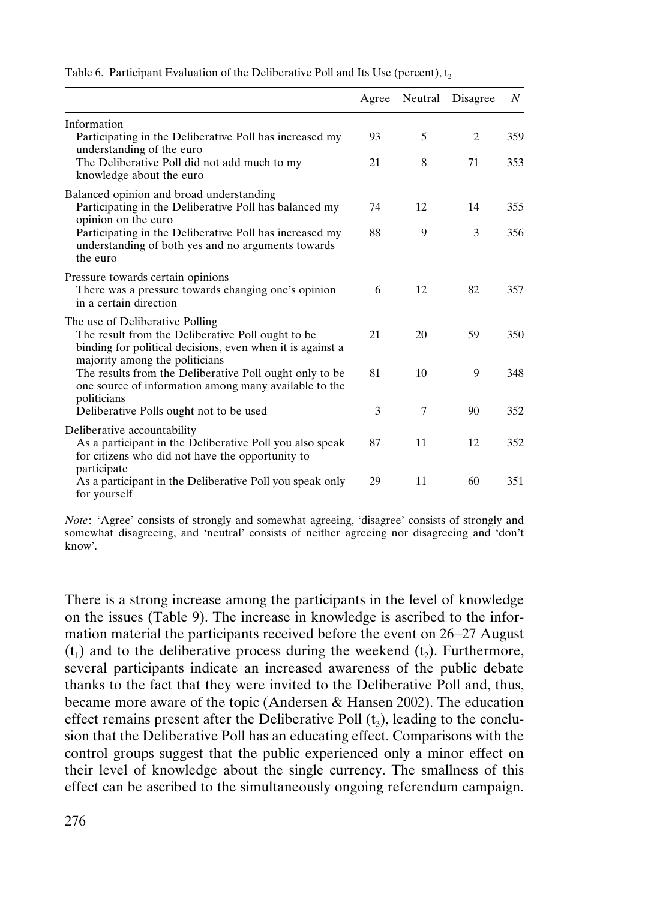|                                                                                                                                                                   | Agree | Neutral | Disagree | N   |
|-------------------------------------------------------------------------------------------------------------------------------------------------------------------|-------|---------|----------|-----|
| Information<br>Participating in the Deliberative Poll has increased my                                                                                            | 93    | 5       | 2        | 359 |
| understanding of the euro<br>The Deliberative Poll did not add much to my<br>knowledge about the euro                                                             | 21    | 8       | 71       | 353 |
| Balanced opinion and broad understanding<br>Participating in the Deliberative Poll has balanced my<br>opinion on the euro                                         | 74    | 12      | 14       | 355 |
| Participating in the Deliberative Poll has increased my<br>understanding of both yes and no arguments towards<br>the euro                                         | 88    | 9       | 3        | 356 |
| Pressure towards certain opinions<br>There was a pressure towards changing one's opinion<br>in a certain direction                                                | 6     | 12      | 82       | 357 |
| The use of Deliberative Polling<br>The result from the Deliberative Poll ought to be.<br>binding for political decisions, even when it is against a               | 21    | 20      | 59       | 350 |
| majority among the politicians<br>The results from the Deliberative Poll ought only to be<br>one source of information among many available to the<br>politicians | 81    | 10      | 9        | 348 |
| Deliberative Polls ought not to be used                                                                                                                           | 3     | 7       | 90       | 352 |
| Deliberative accountability<br>As a participant in the Deliberative Poll you also speak<br>for citizens who did not have the opportunity to<br>participate        | 87    | 11      | 12       | 352 |
| As a participant in the Deliberative Poll you speak only<br>for yourself                                                                                          | 29    | 11      | 60       | 351 |

Table 6. Participant Evaluation of the Deliberative Poll and Its Use (percent),  $t_2$ 

*Note*: 'Agree' consists of strongly and somewhat agreeing, 'disagree' consists of strongly and somewhat disagreeing, and 'neutral' consists of neither agreeing nor disagreeing and 'don't know'.

There is a strong increase among the participants in the level of knowledge on the issues (Table 9). The increase in knowledge is ascribed to the information material the participants received before the event on 26–27 August  $(t<sub>1</sub>)$  and to the deliberative process during the weekend  $(t<sub>2</sub>)$ . Furthermore, several participants indicate an increased awareness of the public debate thanks to the fact that they were invited to the Deliberative Poll and, thus, became more aware of the topic (Andersen & Hansen 2002). The education effect remains present after the Deliberative Poll  $(t_3)$ , leading to the conclusion that the Deliberative Poll has an educating effect. Comparisons with the control groups suggest that the public experienced only a minor effect on their level of knowledge about the single currency. The smallness of this effect can be ascribed to the simultaneously ongoing referendum campaign.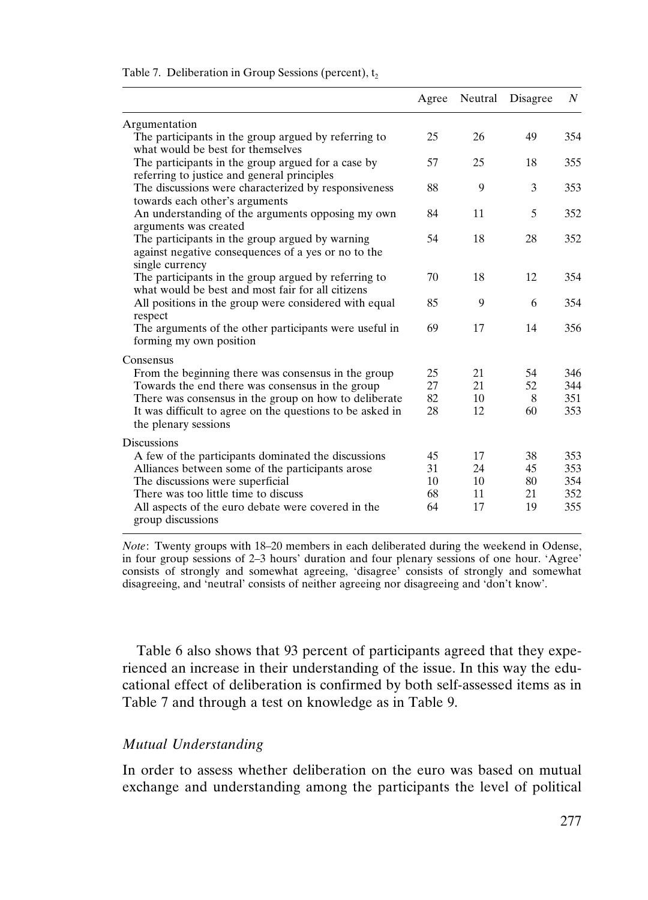|                                                                                                                           | Agree | Neutral | Disagree | $\boldsymbol{N}$ |
|---------------------------------------------------------------------------------------------------------------------------|-------|---------|----------|------------------|
| Argumentation                                                                                                             |       |         |          |                  |
| The participants in the group argued by referring to<br>what would be best for themselves                                 | 25    | 26      | 49       | 354              |
| The participants in the group argued for a case by<br>referring to justice and general principles                         | 57    | 25      | 18       | 355              |
| The discussions were characterized by responsiveness<br>towards each other's arguments                                    | 88    | 9       | 3        | 353              |
| An understanding of the arguments opposing my own<br>arguments was created                                                | 84    | 11      | 5        | 352              |
| The participants in the group argued by warning<br>against negative consequences of a yes or no to the<br>single currency | 54    | 18      | 28       | 352              |
| The participants in the group argued by referring to<br>what would be best and most fair for all citizens                 | 70    | 18      | 12       | 354              |
| All positions in the group were considered with equal<br>respect                                                          | 85    | 9       | 6        | 354              |
| The arguments of the other participants were useful in<br>forming my own position                                         | 69    | 17      | 14       | 356              |
| Consensus                                                                                                                 |       |         |          |                  |
| From the beginning there was consensus in the group                                                                       | 25    | 21      | 54       | 346              |
| Towards the end there was consensus in the group                                                                          | 27    | 21      | 52       | 344              |
| There was consensus in the group on how to deliberate                                                                     | 82    | 10      | 8        | 351              |
| It was difficult to agree on the questions to be asked in<br>the plenary sessions                                         | 28    | 12      | 60       | 353              |
| <b>Discussions</b>                                                                                                        |       |         |          |                  |
| A few of the participants dominated the discussions                                                                       | 45    | 17      | 38       | 353              |
| Alliances between some of the participants arose                                                                          | 31    | 24      | 45       | 353              |
| The discussions were superficial                                                                                          | 10    | 10      | 80       | 354              |
| There was too little time to discuss                                                                                      | 68    | 11      | 21       | 352              |
| All aspects of the euro debate were covered in the<br>group discussions                                                   | 64    | 17      | 19       | 355              |

Table 7. Deliberation in Group Sessions (percent),  $t_2$ 

*Note*: Twenty groups with 18–20 members in each deliberated during the weekend in Odense, in four group sessions of 2–3 hours' duration and four plenary sessions of one hour. 'Agree' consists of strongly and somewhat agreeing, 'disagree' consists of strongly and somewhat disagreeing, and 'neutral' consists of neither agreeing nor disagreeing and 'don't know'.

Table 6 also shows that 93 percent of participants agreed that they experienced an increase in their understanding of the issue. In this way the educational effect of deliberation is confirmed by both self-assessed items as in Table 7 and through a test on knowledge as in Table 9.

#### *Mutual Understanding*

In order to assess whether deliberation on the euro was based on mutual exchange and understanding among the participants the level of political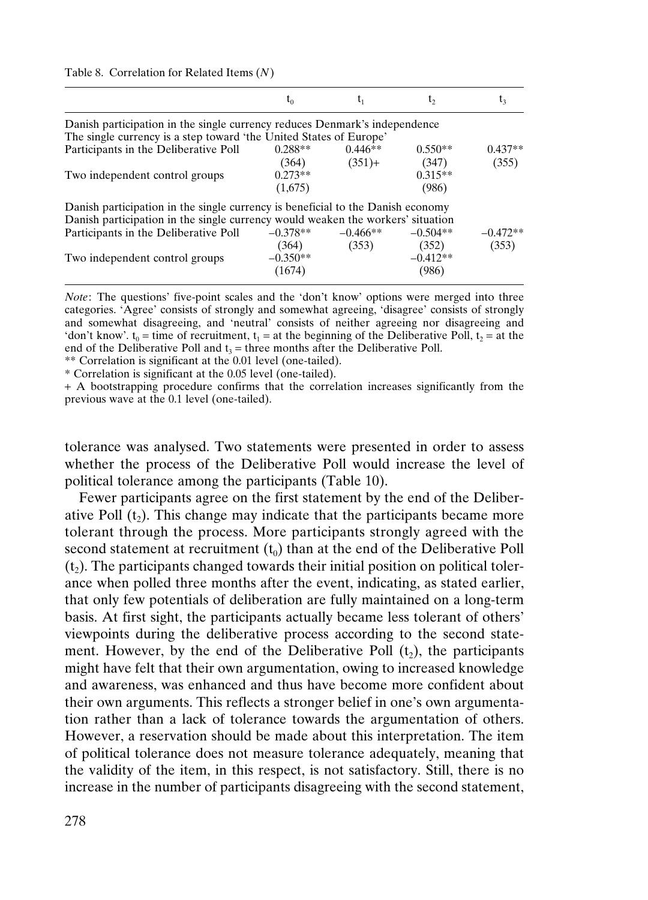Table 8. Correlation for Related Items (*N*)

|                                                                                 | $t_0$      | $t_1$      | t,         | t,         |
|---------------------------------------------------------------------------------|------------|------------|------------|------------|
| Danish participation in the single currency reduces Denmark's independence      |            |            |            |            |
| The single currency is a step toward 'the United States of Europe'              |            |            |            |            |
| Participants in the Deliberative Poll                                           | $0.288**$  | $0.446**$  | $0.550**$  | $0.437**$  |
|                                                                                 | (364)      | $(351) +$  | (347)      | (355)      |
| Two independent control groups                                                  | $0.273**$  |            | $0.315**$  |            |
|                                                                                 | (1,675)    |            | (986)      |            |
| Danish participation in the single currency is beneficial to the Danish economy |            |            |            |            |
| Danish participation in the single currency would weaken the workers' situation |            |            |            |            |
| Participants in the Deliberative Poll                                           | $-0.378**$ | $-0.466**$ | $-0.504**$ | $-0.472**$ |
|                                                                                 | (364)      | (353)      | (352)      | (353)      |
| Two independent control groups                                                  | $-0.350**$ |            | $-0.412**$ |            |
|                                                                                 | (1674)     |            | (986)      |            |

*Note*: The questions' five-point scales and the 'don't know' options were merged into three categories. 'Agree' consists of strongly and somewhat agreeing, 'disagree' consists of strongly and somewhat disagreeing, and 'neutral' consists of neither agreeing nor disagreeing and 'don't know'.  $t_0$  = time of recruitment,  $t_1$  = at the beginning of the Deliberative Poll,  $t_2$  = at the end of the Deliberative Poll and  $t_3$  = three months after the Deliberative Poll.

\*\* Correlation is significant at the 0.01 level (one-tailed).

\* Correlation is significant at the 0.05 level (one-tailed).

+ A bootstrapping procedure confirms that the correlation increases significantly from the previous wave at the 0.1 level (one-tailed).

tolerance was analysed. Two statements were presented in order to assess whether the process of the Deliberative Poll would increase the level of political tolerance among the participants (Table 10).

Fewer participants agree on the first statement by the end of the Deliberative Poll  $(t<sub>2</sub>)$ . This change may indicate that the participants became more tolerant through the process. More participants strongly agreed with the second statement at recruitment  $(t_0)$  than at the end of the Deliberative Poll  $(t<sub>2</sub>)$ . The participants changed towards their initial position on political tolerance when polled three months after the event, indicating, as stated earlier, that only few potentials of deliberation are fully maintained on a long-term basis. At first sight, the participants actually became less tolerant of others' viewpoints during the deliberative process according to the second statement. However, by the end of the Deliberative Poll  $(t<sub>2</sub>)$ , the participants might have felt that their own argumentation, owing to increased knowledge and awareness, was enhanced and thus have become more confident about their own arguments. This reflects a stronger belief in one's own argumentation rather than a lack of tolerance towards the argumentation of others. However, a reservation should be made about this interpretation. The item of political tolerance does not measure tolerance adequately, meaning that the validity of the item, in this respect, is not satisfactory. Still, there is no increase in the number of participants disagreeing with the second statement,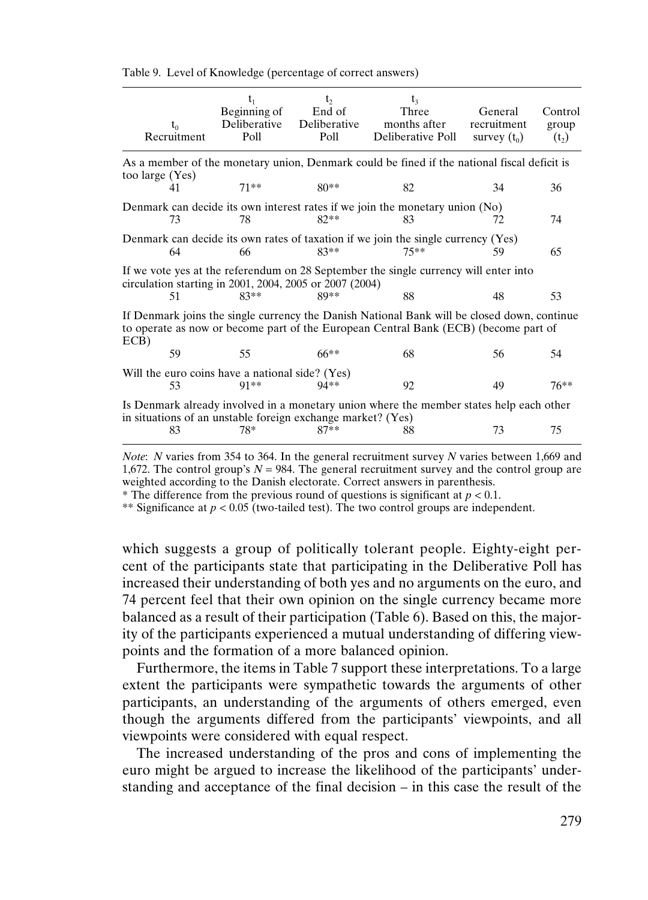| $t_{0}$<br>Recruitment                                      | Beginning of<br>Deliberative<br>Poll | t,<br>End of<br><b>Deliberative</b><br>Poll | t,<br>Three<br>months after<br>Deliberative Poll                                                                                                                                   | General<br>recruitment<br>survey $(t_0)$ | Control<br>group<br>(t <sub>2</sub> ) |
|-------------------------------------------------------------|--------------------------------------|---------------------------------------------|------------------------------------------------------------------------------------------------------------------------------------------------------------------------------------|------------------------------------------|---------------------------------------|
| too large (Yes)                                             |                                      |                                             | As a member of the monetary union, Denmark could be fined if the national fiscal deficit is                                                                                        |                                          |                                       |
| 41                                                          | $71**$                               | $80**$                                      | 82                                                                                                                                                                                 | 34                                       | 36                                    |
|                                                             |                                      |                                             | Denmark can decide its own interest rates if we join the monetary union (No)                                                                                                       |                                          |                                       |
| 73                                                          | 78                                   | $82**$                                      | 83                                                                                                                                                                                 | 72                                       | 74                                    |
| 64                                                          | 66                                   | $83**$                                      | Denmark can decide its own rates of taxation if we join the single currency (Yes)<br>$75**$                                                                                        | 59                                       | 65                                    |
| circulation starting in 2001, 2004, 2005 or 2007 (2004)     |                                      |                                             | If we vote yes at the referendum on 28 September the single currency will enter into                                                                                               |                                          |                                       |
| 51                                                          | $83**$                               | 89**                                        | 88                                                                                                                                                                                 | 48                                       | 53                                    |
| ECB)                                                        |                                      |                                             | If Denmark joins the single currency the Danish National Bank will be closed down, continue<br>to operate as now or become part of the European Central Bank (ECB) (become part of |                                          |                                       |
| 59                                                          | 55                                   | $66***$                                     | 68                                                                                                                                                                                 | 56                                       | 54                                    |
| Will the euro coins have a national side? (Yes)<br>53       | $91**$                               | $94**$                                      | 92                                                                                                                                                                                 | 49                                       | $76***$                               |
| in situations of an unstable foreign exchange market? (Yes) |                                      |                                             | Is Denmark already involved in a monetary union where the member states help each other                                                                                            |                                          |                                       |
| 83                                                          | 78*                                  | $87**$                                      | 88                                                                                                                                                                                 | 73                                       | 75                                    |
|                                                             |                                      |                                             |                                                                                                                                                                                    |                                          |                                       |

Table 9. Level of Knowledge (percentage of correct answers)

*Note*: *N* varies from 354 to 364. In the general recruitment survey *N* varies between 1,669 and 1,672. The control group's  $N = 984$ . The general recruitment survey and the control group are weighted according to the Danish electorate. Correct answers in parenthesis.

\* The difference from the previous round of questions is significant at  $p < 0.1$ .

\*\* Significance at *p* < 0.05 (two-tailed test). The two control groups are independent.

which suggests a group of politically tolerant people. Eighty-eight percent of the participants state that participating in the Deliberative Poll has increased their understanding of both yes and no arguments on the euro, and 74 percent feel that their own opinion on the single currency became more balanced as a result of their participation (Table 6). Based on this, the majority of the participants experienced a mutual understanding of differing viewpoints and the formation of a more balanced opinion.

Furthermore, the items in Table 7 support these interpretations. To a large extent the participants were sympathetic towards the arguments of other participants, an understanding of the arguments of others emerged, even though the arguments differed from the participants' viewpoints, and all viewpoints were considered with equal respect.

The increased understanding of the pros and cons of implementing the euro might be argued to increase the likelihood of the participants' understanding and acceptance of the final decision – in this case the result of the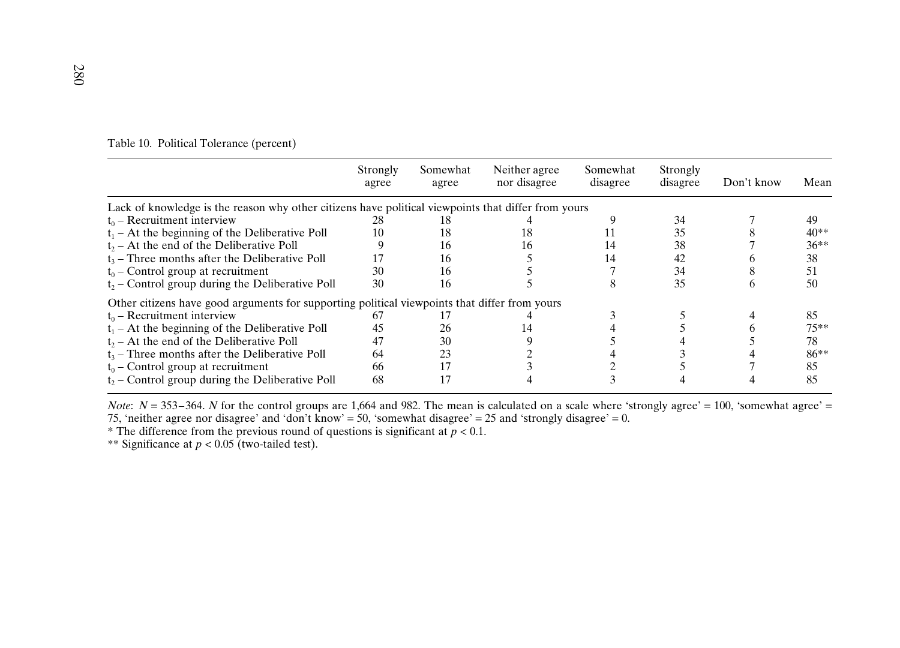|                                                                                                     | Strongly<br>agree | Somewhat<br>agree | Neither agree.<br>nor disagree | Somewhat<br>disagree | Strongly<br>disagree | Don't know | Mean   |
|-----------------------------------------------------------------------------------------------------|-------------------|-------------------|--------------------------------|----------------------|----------------------|------------|--------|
| Lack of knowledge is the reason why other citizens have political viewpoints that differ from yours |                   |                   |                                |                      |                      |            |        |
| $t_0$ – Recruitment interview                                                                       | 28                |                   |                                |                      | 34                   |            | 49     |
| $t_1$ – At the beginning of the Deliberative Poll                                                   | 10                |                   | 18                             |                      | 35                   |            | $40**$ |
| $t2 - At the end of the Deliberative Poll$                                                          |                   | 16                | 16                             |                      | 38                   |            | $36**$ |
| $t3$ – Three months after the Deliberative Poll                                                     | 17                | 16                |                                | 14                   | 42                   |            | 38     |
| $t_0$ – Control group at recruitment                                                                | 30                | 16                |                                |                      | 34                   |            | 51     |
| $t2$ – Control group during the Deliberative Poll                                                   | 30                | 16                |                                |                      | 35                   |            | 50     |
| Other citizens have good arguments for supporting political viewpoints that differ from yours       |                   |                   |                                |                      |                      |            |        |
| $t_0$ – Recruitment interview                                                                       | 67                |                   |                                |                      |                      |            | 85     |
| $t_1$ – At the beginning of the Deliberative Poll                                                   | 45                | 26                |                                |                      |                      |            | $75**$ |
| $t2 - At the end of the Deliberative Poll$                                                          | 47                | 30                |                                |                      |                      |            | 78     |
| $t3$ – Three months after the Deliberative Poll                                                     | 64                | 23                |                                |                      |                      |            | $86**$ |
| $t_0$ – Control group at recruitment                                                                | 66                |                   |                                |                      |                      |            | 85     |
| $t2$ – Control group during the Deliberative Poll                                                   | 68                |                   |                                |                      |                      |            | 85     |

#### Table 10. Political Tolerance (percent)

*Note*:  $N = 353-364$ . *N* for the control groups are 1,664 and 982. The mean is calculated on a scale where 'strongly agree' = 100, 'somewhat agree' = 75, 'neither agree nor disagree' and 'don't know' <sup>=</sup> 50, 'somewhat disagree' <sup>=</sup> 25 and 'strongly disagree' <sup>=</sup> 0.

\* The difference from the previous round of questions is significant at *p* <sup>&</sup>lt; 0.1.

\*\* Significance at *<sup>p</sup>* <sup>&</sup>lt; 0.05 (two-tailed test).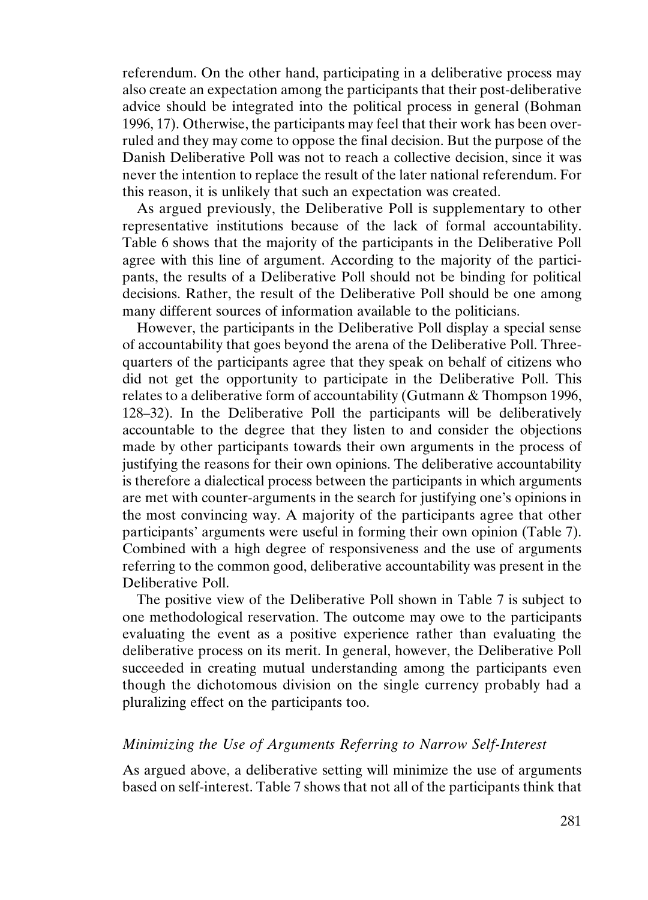referendum. On the other hand, participating in a deliberative process may also create an expectation among the participants that their post-deliberative advice should be integrated into the political process in general (Bohman 1996, 17). Otherwise, the participants may feel that their work has been overruled and they may come to oppose the final decision. But the purpose of the Danish Deliberative Poll was not to reach a collective decision, since it was never the intention to replace the result of the later national referendum. For this reason, it is unlikely that such an expectation was created.

As argued previously, the Deliberative Poll is supplementary to other representative institutions because of the lack of formal accountability. Table 6 shows that the majority of the participants in the Deliberative Poll agree with this line of argument. According to the majority of the participants, the results of a Deliberative Poll should not be binding for political decisions. Rather, the result of the Deliberative Poll should be one among many different sources of information available to the politicians.

However, the participants in the Deliberative Poll display a special sense of accountability that goes beyond the arena of the Deliberative Poll. Threequarters of the participants agree that they speak on behalf of citizens who did not get the opportunity to participate in the Deliberative Poll. This relates to a deliberative form of accountability (Gutmann & Thompson 1996, 128–32). In the Deliberative Poll the participants will be deliberatively accountable to the degree that they listen to and consider the objections made by other participants towards their own arguments in the process of justifying the reasons for their own opinions. The deliberative accountability is therefore a dialectical process between the participants in which arguments are met with counter-arguments in the search for justifying one's opinions in the most convincing way. A majority of the participants agree that other participants' arguments were useful in forming their own opinion (Table 7). Combined with a high degree of responsiveness and the use of arguments referring to the common good, deliberative accountability was present in the Deliberative Poll.

The positive view of the Deliberative Poll shown in Table 7 is subject to one methodological reservation. The outcome may owe to the participants evaluating the event as a positive experience rather than evaluating the deliberative process on its merit. In general, however, the Deliberative Poll succeeded in creating mutual understanding among the participants even though the dichotomous division on the single currency probably had a pluralizing effect on the participants too.

#### *Minimizing the Use of Arguments Referring to Narrow Self-Interest*

As argued above, a deliberative setting will minimize the use of arguments based on self-interest. Table 7 shows that not all of the participants think that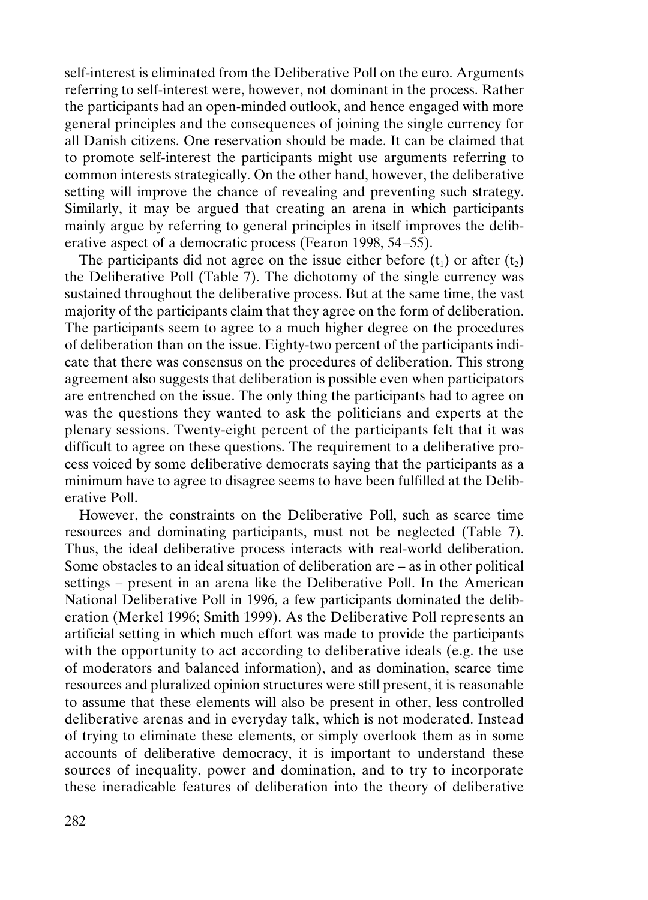self-interest is eliminated from the Deliberative Poll on the euro. Arguments referring to self-interest were, however, not dominant in the process. Rather the participants had an open-minded outlook, and hence engaged with more general principles and the consequences of joining the single currency for all Danish citizens. One reservation should be made. It can be claimed that to promote self-interest the participants might use arguments referring to common interests strategically. On the other hand, however, the deliberative setting will improve the chance of revealing and preventing such strategy. Similarly, it may be argued that creating an arena in which participants mainly argue by referring to general principles in itself improves the deliberative aspect of a democratic process (Fearon 1998, 54–55).

The participants did not agree on the issue either before  $(t_1)$  or after  $(t_2)$ the Deliberative Poll (Table 7). The dichotomy of the single currency was sustained throughout the deliberative process. But at the same time, the vast majority of the participants claim that they agree on the form of deliberation. The participants seem to agree to a much higher degree on the procedures of deliberation than on the issue. Eighty-two percent of the participants indicate that there was consensus on the procedures of deliberation. This strong agreement also suggests that deliberation is possible even when participators are entrenched on the issue. The only thing the participants had to agree on was the questions they wanted to ask the politicians and experts at the plenary sessions. Twenty-eight percent of the participants felt that it was difficult to agree on these questions. The requirement to a deliberative process voiced by some deliberative democrats saying that the participants as a minimum have to agree to disagree seems to have been fulfilled at the Deliberative Poll.

However, the constraints on the Deliberative Poll, such as scarce time resources and dominating participants, must not be neglected (Table 7). Thus, the ideal deliberative process interacts with real-world deliberation. Some obstacles to an ideal situation of deliberation are – as in other political settings – present in an arena like the Deliberative Poll. In the American National Deliberative Poll in 1996, a few participants dominated the deliberation (Merkel 1996; Smith 1999). As the Deliberative Poll represents an artificial setting in which much effort was made to provide the participants with the opportunity to act according to deliberative ideals (e.g. the use of moderators and balanced information), and as domination, scarce time resources and pluralized opinion structures were still present, it is reasonable to assume that these elements will also be present in other, less controlled deliberative arenas and in everyday talk, which is not moderated. Instead of trying to eliminate these elements, or simply overlook them as in some accounts of deliberative democracy, it is important to understand these sources of inequality, power and domination, and to try to incorporate these ineradicable features of deliberation into the theory of deliberative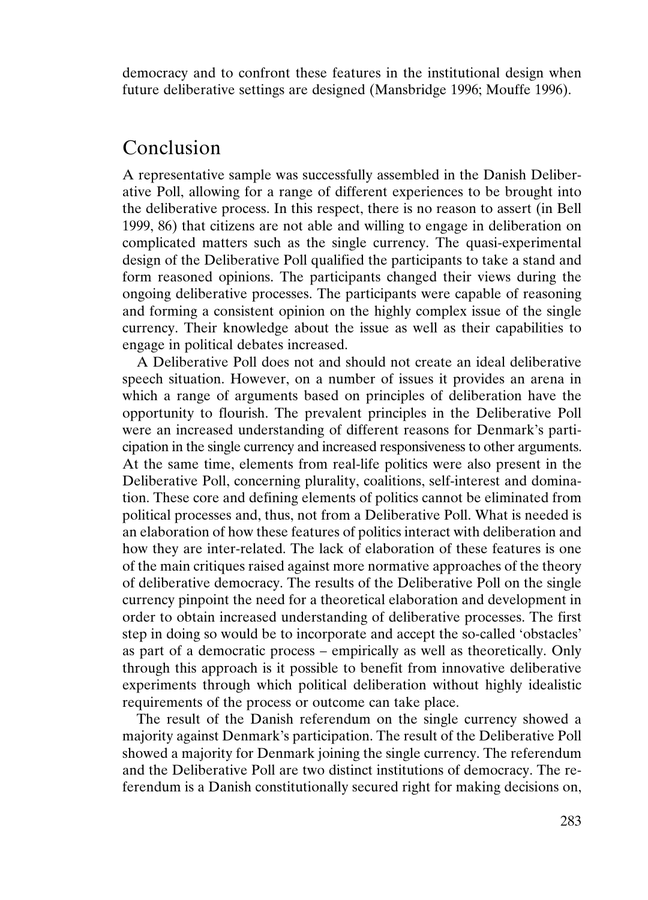democracy and to confront these features in the institutional design when future deliberative settings are designed (Mansbridge 1996; Mouffe 1996).

## Conclusion

A representative sample was successfully assembled in the Danish Deliberative Poll, allowing for a range of different experiences to be brought into the deliberative process. In this respect, there is no reason to assert (in Bell 1999, 86) that citizens are not able and willing to engage in deliberation on complicated matters such as the single currency. The quasi-experimental design of the Deliberative Poll qualified the participants to take a stand and form reasoned opinions. The participants changed their views during the ongoing deliberative processes. The participants were capable of reasoning and forming a consistent opinion on the highly complex issue of the single currency. Their knowledge about the issue as well as their capabilities to engage in political debates increased.

A Deliberative Poll does not and should not create an ideal deliberative speech situation. However, on a number of issues it provides an arena in which a range of arguments based on principles of deliberation have the opportunity to flourish. The prevalent principles in the Deliberative Poll were an increased understanding of different reasons for Denmark's participation in the single currency and increased responsiveness to other arguments. At the same time, elements from real-life politics were also present in the Deliberative Poll, concerning plurality, coalitions, self-interest and domination. These core and defining elements of politics cannot be eliminated from political processes and, thus, not from a Deliberative Poll. What is needed is an elaboration of how these features of politics interact with deliberation and how they are inter-related. The lack of elaboration of these features is one of the main critiques raised against more normative approaches of the theory of deliberative democracy. The results of the Deliberative Poll on the single currency pinpoint the need for a theoretical elaboration and development in order to obtain increased understanding of deliberative processes. The first step in doing so would be to incorporate and accept the so-called 'obstacles' as part of a democratic process – empirically as well as theoretically. Only through this approach is it possible to benefit from innovative deliberative experiments through which political deliberation without highly idealistic requirements of the process or outcome can take place.

The result of the Danish referendum on the single currency showed a majority against Denmark's participation. The result of the Deliberative Poll showed a majority for Denmark joining the single currency. The referendum and the Deliberative Poll are two distinct institutions of democracy. The referendum is a Danish constitutionally secured right for making decisions on,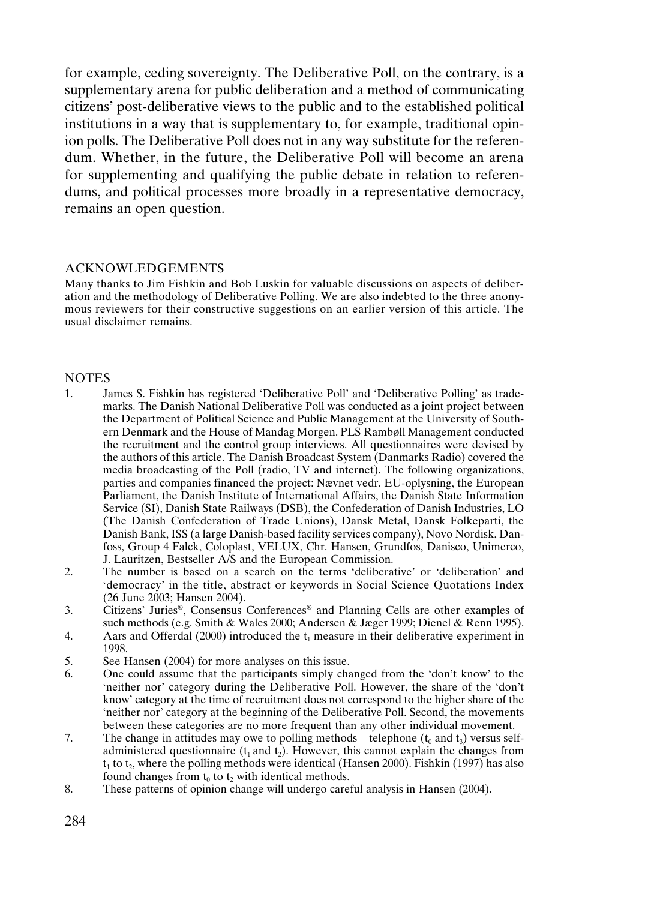for example, ceding sovereignty. The Deliberative Poll, on the contrary, is a supplementary arena for public deliberation and a method of communicating citizens' post-deliberative views to the public and to the established political institutions in a way that is supplementary to, for example, traditional opinion polls. The Deliberative Poll does not in any way substitute for the referendum. Whether, in the future, the Deliberative Poll will become an arena for supplementing and qualifying the public debate in relation to referendums, and political processes more broadly in a representative democracy, remains an open question.

#### ACKNOWLEDGEMENTS

Many thanks to Jim Fishkin and Bob Luskin for valuable discussions on aspects of deliberation and the methodology of Deliberative Polling. We are also indebted to the three anonymous reviewers for their constructive suggestions on an earlier version of this article. The usual disclaimer remains.

#### **NOTES**

- 1. James S. Fishkin has registered 'Deliberative Poll' and 'Deliberative Polling' as trademarks. The Danish National Deliberative Poll was conducted as a joint project between the Department of Political Science and Public Management at the University of Southern Denmark and the House of Mandag Morgen. PLS Rambøll Management conducted the recruitment and the control group interviews. All questionnaires were devised by the authors of this article. The Danish Broadcast System (Danmarks Radio) covered the media broadcasting of the Poll (radio, TV and internet). The following organizations, parties and companies financed the project: Nævnet vedr. EU-oplysning, the European Parliament, the Danish Institute of International Affairs, the Danish State Information Service (SI), Danish State Railways (DSB), the Confederation of Danish Industries, LO (The Danish Confederation of Trade Unions), Dansk Metal, Dansk Folkeparti, the Danish Bank, ISS (a large Danish-based facility services company), Novo Nordisk, Danfoss, Group 4 Falck, Coloplast, VELUX, Chr. Hansen, Grundfos, Danisco, Unimerco, J. Lauritzen, Bestseller A/S and the European Commission.
- 2. The number is based on a search on the terms 'deliberative' or 'deliberation' and 'democracy' in the title, abstract or keywords in Social Science Quotations Index (26 June 2003; Hansen 2004).
- 3. Citizens' Juries®, Consensus Conferences® and Planning Cells are other examples of such methods (e.g. Smith & Wales 2000; Andersen & Jæger 1999; Dienel & Renn 1995).
- 4. Aars and Offerdal (2000) introduced the  $t_1$  measure in their deliberative experiment in 1998.
- 5. See Hansen (2004) for more analyses on this issue.
- 6. One could assume that the participants simply changed from the 'don't know' to the 'neither nor' category during the Deliberative Poll. However, the share of the 'don't know' category at the time of recruitment does not correspond to the higher share of the 'neither nor' category at the beginning of the Deliberative Poll. Second, the movements between these categories are no more frequent than any other individual movement.
- 7. The change in attitudes may owe to polling methods telephone  $(t_0$  and  $t_3)$  versus selfadministered questionnaire  $(t_1$  and  $t_2)$ . However, this cannot explain the changes from  $t_1$  to  $t_2$ , where the polling methods were identical (Hansen 2000). Fishkin (1997) has also found changes from  $t_0$  to t<sub>2</sub> with identical methods.
- 8. These patterns of opinion change will undergo careful analysis in Hansen (2004).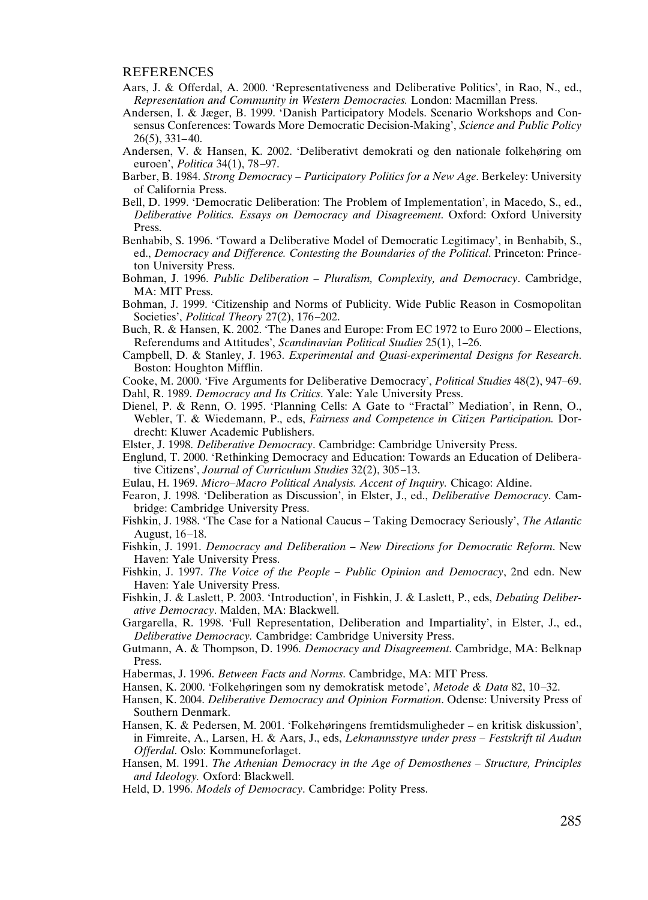#### **REFERENCES**

- Aars, J. & Offerdal, A. 2000. 'Representativeness and Deliberative Politics', in Rao, N., ed., *Representation and Community in Western Democracies.* London: Macmillan Press.
- Andersen, I. & Jæger, B. 1999. 'Danish Participatory Models. Scenario Workshops and Consensus Conferences: Towards More Democratic Decision-Making', *Science and Public Policy* 26(5), 331–40.
- Andersen, V. & Hansen, K. 2002. 'Deliberativt demokrati og den nationale folkehøring om euroen', *Politica* 34(1), 78–97.
- Barber, B. 1984. *Strong Democracy Participatory Politics for a New Age*. Berkeley: University of California Press.
- Bell, D. 1999. 'Democratic Deliberation: The Problem of Implementation', in Macedo, S., ed., *Deliberative Politics. Essays on Democracy and Disagreement*. Oxford: Oxford University Press.
- Benhabib, S. 1996. 'Toward a Deliberative Model of Democratic Legitimacy', in Benhabib, S., ed., *Democracy and Difference. Contesting the Boundaries of the Political*. Princeton: Princeton University Press.
- Bohman, J. 1996. *Public Deliberation Pluralism, Complexity, and Democracy*. Cambridge, MA: MIT Press.
- Bohman, J. 1999. 'Citizenship and Norms of Publicity. Wide Public Reason in Cosmopolitan Societies', *Political Theory* 27(2), 176–202.
- Buch, R. & Hansen, K. 2002. 'The Danes and Europe: From EC 1972 to Euro 2000 Elections, Referendums and Attitudes', *Scandinavian Political Studies* 25(1), 1–26.
- Campbell, D. & Stanley, J. 1963. *Experimental and Quasi-experimental Designs for Research*. Boston: Houghton Mifflin.
- Cooke, M. 2000. 'Five Arguments for Deliberative Democracy', *Political Studies* 48(2), 947–69.
- Dahl, R. 1989. *Democracy and Its Critics*. Yale: Yale University Press.
- Dienel, P. & Renn, O. 1995. 'Planning Cells: A Gate to "Fractal" Mediation', in Renn, O., Webler, T. & Wiedemann, P., eds, *Fairness and Competence in Citizen Participation.* Dordrecht: Kluwer Academic Publishers.
- Elster, J. 1998. *Deliberative Democracy*. Cambridge: Cambridge University Press.
- Englund, T. 2000. 'Rethinking Democracy and Education: Towards an Education of Deliberative Citizens', *Journal of Curriculum Studies* 32(2), 305–13.
- Eulau, H. 1969. *Micro–Macro Political Analysis. Accent of Inquiry.* Chicago: Aldine.
- Fearon, J. 1998. 'Deliberation as Discussion', in Elster, J., ed., *Deliberative Democracy*. Cambridge: Cambridge University Press.
- Fishkin, J. 1988. 'The Case for a National Caucus Taking Democracy Seriously', *The Atlantic* August, 16–18.
- Fishkin, J. 1991. *Democracy and Deliberation New Directions for Democratic Reform*. New Haven: Yale University Press.
- Fishkin, J. 1997. *The Voice of the People Public Opinion and Democracy*, 2nd edn. New Haven: Yale University Press.
- Fishkin, J. & Laslett, P. 2003. 'Introduction', in Fishkin, J. & Laslett, P., eds, *Debating Deliberative Democracy*. Malden, MA: Blackwell.
- Gargarella, R. 1998. 'Full Representation, Deliberation and Impartiality', in Elster, J., ed., *Deliberative Democracy.* Cambridge: Cambridge University Press.
- Gutmann, A. & Thompson, D. 1996. *Democracy and Disagreement*. Cambridge, MA: Belknap Press.
- Habermas, J. 1996. *Between Facts and Norms*. Cambridge, MA: MIT Press.

Hansen, K. 2000. 'Folkehøringen som ny demokratisk metode', *Metode & Data* 82, 10–32.

- Hansen, K. 2004. *Deliberative Democracy and Opinion Formation*. Odense: University Press of Southern Denmark.
- Hansen, K. & Pedersen, M. 2001. 'Folkehøringens fremtidsmuligheder en kritisk diskussion', in Fimreite, A., Larsen, H. & Aars, J., eds, *Lekmannsstyre under press – Festskrift til Audun Offerdal*. Oslo: Kommuneforlaget.
- Hansen, M. 1991. *The Athenian Democracy in the Age of Demosthenes Structure, Principles and Ideology.* Oxford: Blackwell.
- Held, D. 1996. *Models of Democracy*. Cambridge: Polity Press.